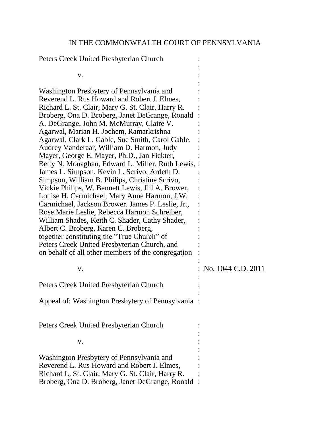## IN THE COMMONWEALTH COURT OF PENNSYLVANIA

:

Peters Creek United Presbyterian Church :

| V.                                                                                                                                                                                                                                                                                                                                                                                                                                                                                                                                                                                                                                                                                                                                                                                                                                                                                                                                                                                                                                                      |                    |
|---------------------------------------------------------------------------------------------------------------------------------------------------------------------------------------------------------------------------------------------------------------------------------------------------------------------------------------------------------------------------------------------------------------------------------------------------------------------------------------------------------------------------------------------------------------------------------------------------------------------------------------------------------------------------------------------------------------------------------------------------------------------------------------------------------------------------------------------------------------------------------------------------------------------------------------------------------------------------------------------------------------------------------------------------------|--------------------|
| Washington Presbytery of Pennsylvania and<br>Reverend L. Rus Howard and Robert J. Elmes,<br>Richard L. St. Clair, Mary G. St. Clair, Harry R.<br>Broberg, Ona D. Broberg, Janet DeGrange, Ronald<br>A. DeGrange, John M. McMurray, Claire V.<br>Agarwal, Marian H. Jochem, Ramarkrishna<br>Agarwal, Clark L. Gable, Sue Smith, Carol Gable,<br>Audrey Vanderaar, William D. Harmon, Judy<br>Mayer, George E. Mayer, Ph.D., Jan Fickter,<br>Betty N. Monaghan, Edward L. Miller, Ruth Lewis, :<br>James L. Simpson, Kevin L. Scrivo, Ardeth D.<br>Simpson, William B. Philips, Christine Scrivo,<br>Vickie Philips, W. Bennett Lewis, Jill A. Brower,<br>Louise H. Carmichael, Mary Anne Harmon, J.W.<br>Carmichael, Jackson Brower, James P. Leslie, Jr.,<br>Rose Marie Leslie, Rebecca Harmon Schreiber,<br>William Shades, Keith C. Shader, Cathy Shader,<br>Albert C. Broberg, Karen C. Broberg,<br>together constituting the "True Church" of<br>Peters Creek United Presbyterian Church, and<br>on behalf of all other members of the congregation |                    |
| V.                                                                                                                                                                                                                                                                                                                                                                                                                                                                                                                                                                                                                                                                                                                                                                                                                                                                                                                                                                                                                                                      | No. 1044 C.D. 2011 |
| Peters Creek United Presbyterian Church                                                                                                                                                                                                                                                                                                                                                                                                                                                                                                                                                                                                                                                                                                                                                                                                                                                                                                                                                                                                                 |                    |
| Appeal of: Washington Presbytery of Pennsylvania                                                                                                                                                                                                                                                                                                                                                                                                                                                                                                                                                                                                                                                                                                                                                                                                                                                                                                                                                                                                        |                    |
| Peters Creek United Presbyterian Church                                                                                                                                                                                                                                                                                                                                                                                                                                                                                                                                                                                                                                                                                                                                                                                                                                                                                                                                                                                                                 |                    |
| V.                                                                                                                                                                                                                                                                                                                                                                                                                                                                                                                                                                                                                                                                                                                                                                                                                                                                                                                                                                                                                                                      |                    |
| Washington Presbytery of Pennsylvania and<br>Reverend L. Rus Howard and Robert J. Elmes,<br>Richard L. St. Clair, Mary G. St. Clair, Harry R.<br>Broberg, Ona D. Broberg, Janet DeGrange, Ronald                                                                                                                                                                                                                                                                                                                                                                                                                                                                                                                                                                                                                                                                                                                                                                                                                                                        |                    |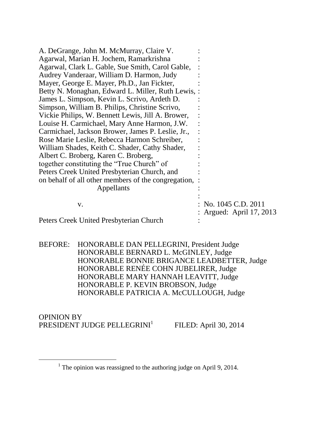| A. DeGrange, John M. McMurray, Claire V.            |                        |
|-----------------------------------------------------|------------------------|
| Agarwal, Marian H. Jochem, Ramarkrishna             |                        |
| Agarwal, Clark L. Gable, Sue Smith, Carol Gable,    |                        |
| Audrey Vanderaar, William D. Harmon, Judy           |                        |
| Mayer, George E. Mayer, Ph.D., Jan Fickter,         |                        |
| Betty N. Monaghan, Edward L. Miller, Ruth Lewis, :  |                        |
| James L. Simpson, Kevin L. Scrivo, Ardeth D.        |                        |
| Simpson, William B. Philips, Christine Scrivo,      |                        |
| Vickie Philips, W. Bennett Lewis, Jill A. Brower,   |                        |
| Louise H. Carmichael, Mary Anne Harmon, J.W.        |                        |
| Carmichael, Jackson Brower, James P. Leslie, Jr.,   |                        |
| Rose Marie Leslie, Rebecca Harmon Schreiber,        |                        |
| William Shades, Keith C. Shader, Cathy Shader,      |                        |
| Albert C. Broberg, Karen C. Broberg,                |                        |
| together constituting the "True Church" of          |                        |
| Peters Creek United Presbyterian Church, and        |                        |
| on behalf of all other members of the congregation, |                        |
| Appellants                                          |                        |
|                                                     |                        |
| V.                                                  | No. 1045 C.D. 2011     |
|                                                     | Argued: April 17, 2013 |
| Peters Creek United Presbyterian Church             |                        |

BEFORE: HONORABLE DAN PELLEGRINI, President Judge HONORABLE BERNARD L. McGINLEY, Judge HONORABLE BONNIE BRIGANCE LEADBETTER, Judge HONORABLE RENÉE COHN JUBELIRER, Judge HONORABLE MARY HANNAH LEAVITT, Judge HONORABLE P. KEVIN BROBSON, Judge HONORABLE PATRICIA A. McCULLOUGH, Judge

OPINION BY PRESIDENT JUDGE PELLEGRINI<sup>1</sup>

 $\overline{a}$ 

FILED: April 30, 2014

<sup>&</sup>lt;sup>1</sup> The opinion was reassigned to the authoring judge on April 9, 2014.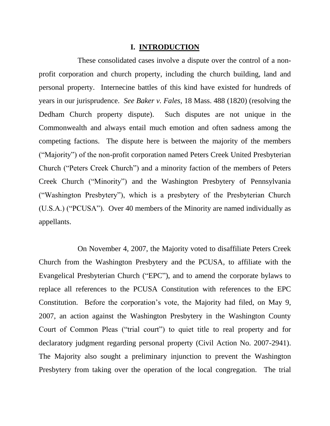## **I. INTRODUCTION**

These consolidated cases involve a dispute over the control of a nonprofit corporation and church property, including the church building, land and personal property. Internecine battles of this kind have existed for hundreds of years in our jurisprudence. *See Baker v. Fales*, 18 Mass. 488 (1820) (resolving the Dedham Church property dispute). Such disputes are not unique in the Commonwealth and always entail much emotion and often sadness among the competing factions. The dispute here is between the majority of the members ("Majority") of the non-profit corporation named Peters Creek United Presbyterian Church ("Peters Creek Church") and a minority faction of the members of Peters Creek Church ("Minority") and the Washington Presbytery of Pennsylvania ("Washington Presbytery"), which is a presbytery of the Presbyterian Church (U.S.A.) ("PCUSA"). Over 40 members of the Minority are named individually as appellants.

On November 4, 2007, the Majority voted to disaffiliate Peters Creek Church from the Washington Presbytery and the PCUSA, to affiliate with the Evangelical Presbyterian Church ("EPC"), and to amend the corporate bylaws to replace all references to the PCUSA Constitution with references to the EPC Constitution. Before the corporation's vote, the Majority had filed, on May 9, 2007, an action against the Washington Presbytery in the Washington County Court of Common Pleas ("trial court") to quiet title to real property and for declaratory judgment regarding personal property (Civil Action No. 2007-2941). The Majority also sought a preliminary injunction to prevent the Washington Presbytery from taking over the operation of the local congregation. The trial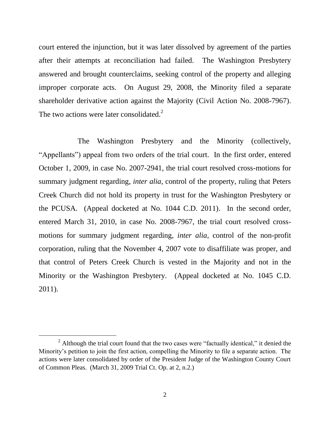court entered the injunction, but it was later dissolved by agreement of the parties after their attempts at reconciliation had failed. The Washington Presbytery answered and brought counterclaims, seeking control of the property and alleging improper corporate acts. On August 29, 2008, the Minority filed a separate shareholder derivative action against the Majority (Civil Action No. 2008-7967). The two actions were later consolidated.<sup>2</sup>

The Washington Presbytery and the Minority (collectively, "Appellants") appeal from two orders of the trial court. In the first order, entered October 1, 2009, in case No. 2007-2941, the trial court resolved cross-motions for summary judgment regarding, *inter alia*, control of the property, ruling that Peters Creek Church did not hold its property in trust for the Washington Presbytery or the PCUSA. (Appeal docketed at No. 1044 C.D. 2011). In the second order, entered March 31, 2010, in case No. 2008-7967, the trial court resolved crossmotions for summary judgment regarding, *inter alia*, control of the non-profit corporation, ruling that the November 4, 2007 vote to disaffiliate was proper, and that control of Peters Creek Church is vested in the Majority and not in the Minority or the Washington Presbytery. (Appeal docketed at No. 1045 C.D. 2011).

 $2$  Although the trial court found that the two cases were "factually identical," it denied the Minority's petition to join the first action, compelling the Minority to file a separate action. The actions were later consolidated by order of the President Judge of the Washington County Court of Common Pleas. (March 31, 2009 Trial Ct. Op. at 2, n.2.)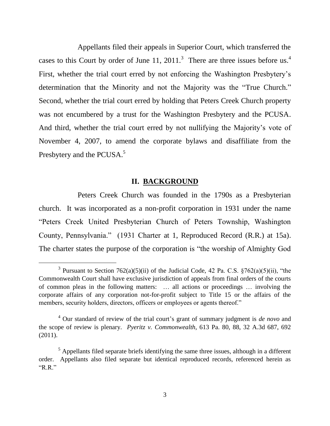Appellants filed their appeals in Superior Court, which transferred the cases to this Court by order of June 11, 2011.<sup>3</sup> There are three issues before us.<sup>4</sup> First, whether the trial court erred by not enforcing the Washington Presbytery's determination that the Minority and not the Majority was the "True Church." Second, whether the trial court erred by holding that Peters Creek Church property was not encumbered by a trust for the Washington Presbytery and the PCUSA. And third, whether the trial court erred by not nullifying the Majority's vote of November 4, 2007, to amend the corporate bylaws and disaffiliate from the Presbytery and the PCUSA.<sup>5</sup>

## **II. BACKGROUND**

Peters Creek Church was founded in the 1790s as a Presbyterian church. It was incorporated as a non-profit corporation in 1931 under the name "Peters Creek United Presbyterian Church of Peters Township, Washington County, Pennsylvania." (1931 Charter at 1, Reproduced Record (R.R.) at 15a). The charter states the purpose of the corporation is "the worship of Almighty God

<sup>&</sup>lt;sup>3</sup> Pursuant to Section 762(a)(5)(ii) of the Judicial Code, 42 Pa. C.S.  $\frac{5762(a)(5)(ii)}{i}$ , "the Commonwealth Court shall have exclusive jurisdiction of appeals from final orders of the courts of common pleas in the following matters: … all actions or proceedings … involving the corporate affairs of any corporation not-for-profit subject to Title 15 or the affairs of the members, security holders, directors, officers or employees or agents thereof."

<sup>4</sup> Our standard of review of the trial court's grant of summary judgment is *de novo* and the scope of review is plenary. *Pyeritz v. Commonwealth*, 613 Pa. 80, 88, 32 A.3d 687, 692 (2011).

 $<sup>5</sup>$  Appellants filed separate briefs identifying the same three issues, although in a different</sup> order. Appellants also filed separate but identical reproduced records, referenced herein as "R.R."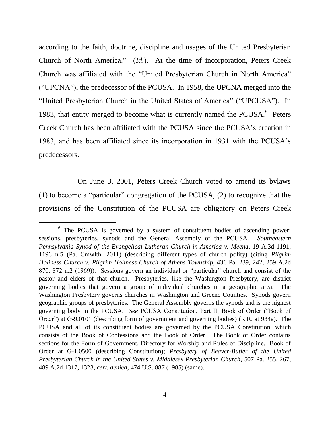according to the faith, doctrine, discipline and usages of the United Presbyterian Church of North America." (*Id.*). At the time of incorporation, Peters Creek Church was affiliated with the "United Presbyterian Church in North America" ("UPCNA"), the predecessor of the PCUSA. In 1958, the UPCNA merged into the "United Presbyterian Church in the United States of America" ("UPCUSA"). In 1983, that entity merged to become what is currently named the PCUSA.<sup>6</sup> Peters Creek Church has been affiliated with the PCUSA since the PCUSA's creation in 1983, and has been affiliated since its incorporation in 1931 with the PCUSA's predecessors.

On June 3, 2001, Peters Creek Church voted to amend its bylaws (1) to become a "particular" congregation of the PCUSA, (2) to recognize that the provisions of the Constitution of the PCUSA are obligatory on Peters Creek

l

<sup>&</sup>lt;sup>6</sup> The PCUSA is governed by a system of constituent bodies of ascending power: sessions, presbyteries, synods and the General Assembly of the PCUSA. *Southeastern Pennsylvania Synod of the Evangelical Lutheran Church in America v. Meena*, 19 A.3d 1191, 1196 n.5 (Pa. Cmwlth. 2011) (describing different types of church polity) (citing *Pilgrim Holiness Church v. Pilgrim Holiness Church of Athens Township*, 436 Pa. 239, 242, 259 A.2d 870, 872 n.2 (1969)). Sessions govern an individual or "particular" church and consist of the pastor and elders of that church. Presbyteries, like the Washington Presbytery, are district governing bodies that govern a group of individual churches in a geographic area. The Washington Presbytery governs churches in Washington and Greene Counties. Synods govern geographic groups of presbyteries. The General Assembly governs the synods and is the highest governing body in the PCUSA. *See* PCUSA Constitution, Part II, Book of Order ("Book of Order") at G-9.0101 (describing form of government and governing bodies) (R.R. at 934a). The PCUSA and all of its constituent bodies are governed by the PCUSA Constitution, which consists of the Book of Confessions and the Book of Order. The Book of Order contains sections for the Form of Government, Directory for Worship and Rules of Discipline. Book of Order at G-1.0500 (describing Constitution); *Presbytery of Beaver-Butler of the United Presbyterian Church in the United States v. Middlesex Presbyterian Church*, 507 Pa. 255, 267, 489 A.2d 1317, 1323, *cert. denied*, 474 U.S. 887 (1985) (same).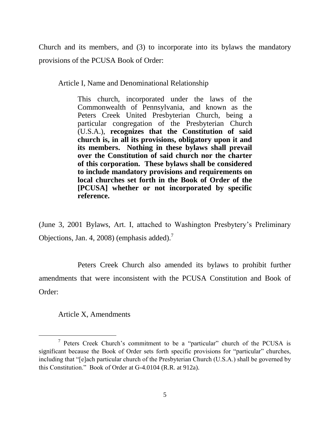Church and its members, and (3) to incorporate into its bylaws the mandatory provisions of the PCUSA Book of Order:

Article I, Name and Denominational Relationship

This church, incorporated under the laws of the Commonwealth of Pennsylvania, and known as the Peters Creek United Presbyterian Church, being a particular congregation of the Presbyterian Church (U.S.A.), **recognizes that the Constitution of said church is, in all its provisions, obligatory upon it and its members. Nothing in these bylaws shall prevail over the Constitution of said church nor the charter of this corporation. These bylaws shall be considered to include mandatory provisions and requirements on local churches set forth in the Book of Order of the [PCUSA] whether or not incorporated by specific reference.**

(June 3, 2001 Bylaws, Art. I, attached to Washington Presbytery's Preliminary Objections, Jan. 4, 2008) (emphasis added).<sup>7</sup>

Peters Creek Church also amended its bylaws to prohibit further amendments that were inconsistent with the PCUSA Constitution and Book of Order:

Article X, Amendments

<sup>&</sup>lt;sup>7</sup> Peters Creek Church's commitment to be a "particular" church of the PCUSA is significant because the Book of Order sets forth specific provisions for "particular" churches, including that "[e]ach particular church of the Presbyterian Church (U.S.A.) shall be governed by this Constitution." Book of Order at G-4.0104 (R.R. at 912a).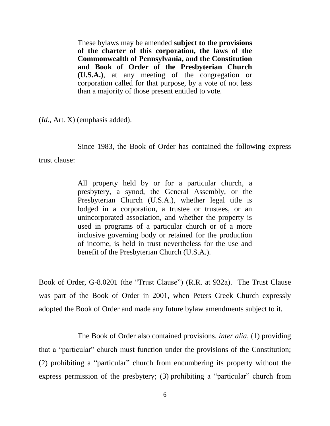These bylaws may be amended **subject to the provisions of the charter of this corporation, the laws of the Commonwealth of Pennsylvania, and the Constitution and Book of Order of the Presbyterian Church (U.S.A.)**, at any meeting of the congregation or corporation called for that purpose, by a vote of not less than a majority of those present entitled to vote.

(*Id.*, Art. X) (emphasis added).

Since 1983, the Book of Order has contained the following express trust clause:

> All property held by or for a particular church, a presbytery, a synod, the General Assembly, or the Presbyterian Church (U.S.A.), whether legal title is lodged in a corporation, a trustee or trustees, or an unincorporated association, and whether the property is used in programs of a particular church or of a more inclusive governing body or retained for the production of income, is held in trust nevertheless for the use and benefit of the Presbyterian Church (U.S.A.).

Book of Order, G-8.0201 (the "Trust Clause") (R.R. at 932a). The Trust Clause was part of the Book of Order in 2001, when Peters Creek Church expressly adopted the Book of Order and made any future bylaw amendments subject to it.

The Book of Order also contained provisions, *inter alia*, (1) providing that a "particular" church must function under the provisions of the Constitution; (2) prohibiting a "particular" church from encumbering its property without the express permission of the presbytery; (3) prohibiting a "particular" church from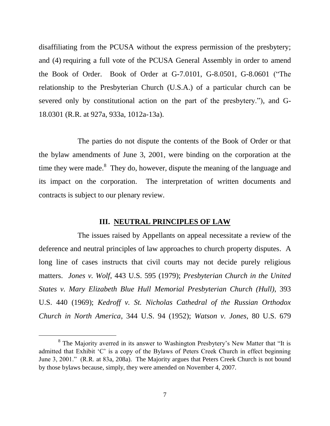disaffiliating from the PCUSA without the express permission of the presbytery; and (4) requiring a full vote of the PCUSA General Assembly in order to amend the Book of Order. Book of Order at G-7.0101, G-8.0501, G-8.0601 ("The relationship to the Presbyterian Church (U.S.A.) of a particular church can be severed only by constitutional action on the part of the presbytery."), and G-18.0301 (R.R. at 927a, 933a, 1012a-13a).

The parties do not dispute the contents of the Book of Order or that the bylaw amendments of June 3, 2001, were binding on the corporation at the time they were made. $8\text{ They do, however, dispute the meaning of the language and }$ its impact on the corporation. The interpretation of written documents and contracts is subject to our plenary review.

#### **III. NEUTRAL PRINCIPLES OF LAW**

The issues raised by Appellants on appeal necessitate a review of the deference and neutral principles of law approaches to church property disputes. A long line of cases instructs that civil courts may not decide purely religious matters. *Jones v. Wolf*, 443 U.S. 595 (1979); *Presbyterian Church in the United States v. Mary Elizabeth Blue Hull Memorial Presbyterian Church (Hull)*, 393 U.S. 440 (1969); *Kedroff v. St. Nicholas Cathedral of the Russian Orthodox Church in North America*, 344 U.S. 94 (1952); *Watson v. Jones*, 80 U.S. 679

<sup>&</sup>lt;sup>8</sup> The Majority averred in its answer to Washington Presbytery's New Matter that "It is admitted that Exhibit 'C' is a copy of the Bylaws of Peters Creek Church in effect beginning June 3, 2001." (R.R. at 83a, 208a). The Majority argues that Peters Creek Church is not bound by those bylaws because, simply, they were amended on November 4, 2007.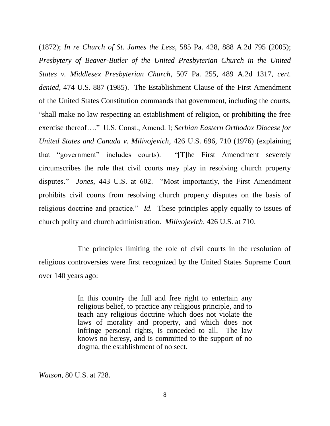(1872); *In re Church of St. James the Less*, 585 Pa. 428, 888 A.2d 795 (2005); *Presbytery of Beaver-Butler of the United Presbyterian Church in the United States v. Middlesex Presbyterian Church*, 507 Pa. 255, 489 A.2d 1317, *cert. denied*, 474 U.S. 887 (1985). The Establishment Clause of the First Amendment of the United States Constitution commands that government, including the courts, "shall make no law respecting an establishment of religion, or prohibiting the free exercise thereof…." U.S. Const., Amend. I; *Serbian Eastern Orthodox Diocese for United States and Canada v. Milivojevich*, 426 U.S. 696, 710 (1976) (explaining that "government" includes courts). "[T]he First Amendment severely circumscribes the role that civil courts may play in resolving church property disputes." *Jones*, 443 U.S. at 602. "Most importantly, the First Amendment prohibits civil courts from resolving church property disputes on the basis of religious doctrine and practice." *Id.* These principles apply equally to issues of church polity and church administration. *Milivojevich*, 426 U.S. at 710.

The principles limiting the role of civil courts in the resolution of religious controversies were first recognized by the United States Supreme Court over 140 years ago:

> In this country the full and free right to entertain any religious belief, to practice any religious principle, and to teach any religious doctrine which does not violate the laws of morality and property, and which does not infringe personal rights, is conceded to all. The law knows no heresy, and is committed to the support of no dogma, the establishment of no sect.

*Watson*, 80 U.S. at 728.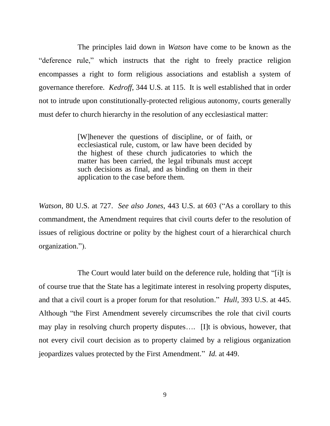The principles laid down in *Watson* have come to be known as the "deference rule," which instructs that the right to freely practice religion encompasses a right to form religious associations and establish a system of governance therefore. *Kedroff*, 344 U.S. at 115. It is well established that in order not to intrude upon constitutionally-protected religious autonomy, courts generally must defer to church hierarchy in the resolution of any ecclesiastical matter:

> [W]henever the questions of discipline, or of faith, or ecclesiastical rule, custom, or law have been decided by the highest of these church judicatories to which the matter has been carried, the legal tribunals must accept such decisions as final, and as binding on them in their application to the case before them.

*Watson*, 80 U.S. at 727. *See also Jones*, 443 U.S. at 603 ("As a corollary to this commandment, the Amendment requires that civil courts defer to the resolution of issues of religious doctrine or polity by the highest court of a hierarchical church organization.").

The Court would later build on the deference rule, holding that "[i]t is of course true that the State has a legitimate interest in resolving property disputes, and that a civil court is a proper forum for that resolution." *Hull*, 393 U.S. at 445. Although "the First Amendment severely circumscribes the role that civil courts may play in resolving church property disputes…. [I]t is obvious, however, that not every civil court decision as to property claimed by a religious organization jeopardizes values protected by the First Amendment." *Id.* at 449.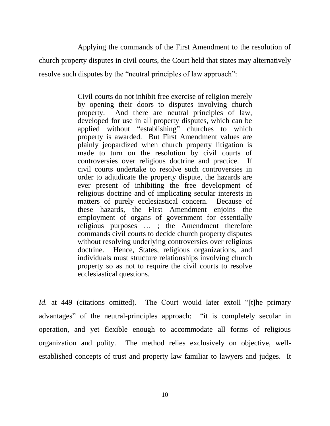Applying the commands of the First Amendment to the resolution of church property disputes in civil courts, the Court held that states may alternatively resolve such disputes by the "neutral principles of law approach":

> Civil courts do not inhibit free exercise of religion merely by opening their doors to disputes involving church property. And there are neutral principles of law, developed for use in all property disputes, which can be applied without "establishing" churches to which property is awarded. But First Amendment values are plainly jeopardized when church property litigation is made to turn on the resolution by civil courts of controversies over religious doctrine and practice. If civil courts undertake to resolve such controversies in order to adjudicate the property dispute, the hazards are ever present of inhibiting the free development of religious doctrine and of implicating secular interests in matters of purely ecclesiastical concern. Because of these hazards, the First Amendment enjoins the employment of organs of government for essentially religious purposes … ; the Amendment therefore commands civil courts to decide church property disputes without resolving underlying controversies over religious doctrine. Hence, States, religious organizations, and individuals must structure relationships involving church property so as not to require the civil courts to resolve ecclesiastical questions.

*Id.* at 449 (citations omitted). The Court would later extoll "[t]he primary advantages" of the neutral-principles approach: "it is completely secular in operation, and yet flexible enough to accommodate all forms of religious organization and polity. The method relies exclusively on objective, wellestablished concepts of trust and property law familiar to lawyers and judges. It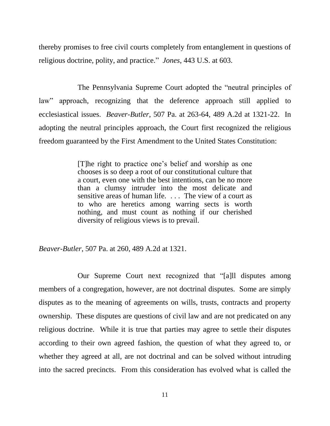thereby promises to free civil courts completely from entanglement in questions of religious doctrine, polity, and practice." *Jones*, 443 U.S. at 603.

The Pennsylvania Supreme Court adopted the "neutral principles of law" approach, recognizing that the deference approach still applied to ecclesiastical issues. *Beaver-Butler*, 507 Pa. at 263-64, 489 A.2d at 1321-22. In adopting the neutral principles approach, the Court first recognized the religious freedom guaranteed by the First Amendment to the United States Constitution:

> [T]he right to practice one's belief and worship as one chooses is so deep a root of our constitutional culture that a court, even one with the best intentions, can be no more than a clumsy intruder into the most delicate and sensitive areas of human life. . . . The view of a court as to who are heretics among warring sects is worth nothing, and must count as nothing if our cherished diversity of religious views is to prevail.

*Beaver-Butler*, 507 Pa. at 260, 489 A.2d at 1321.

Our Supreme Court next recognized that "[a]ll disputes among members of a congregation, however, are not doctrinal disputes. Some are simply disputes as to the meaning of agreements on wills, trusts, contracts and property ownership. These disputes are questions of civil law and are not predicated on any religious doctrine. While it is true that parties may agree to settle their disputes according to their own agreed fashion, the question of what they agreed to, or whether they agreed at all, are not doctrinal and can be solved without intruding into the sacred precincts. From this consideration has evolved what is called the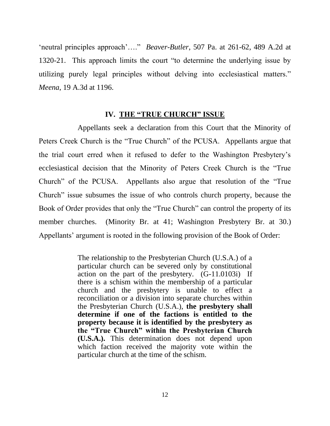'neutral principles approach'…." *Beaver-Butler*, 507 Pa. at 261-62, 489 A.2d at 1320-21. This approach limits the court "to determine the underlying issue by utilizing purely legal principles without delving into ecclesiastical matters." *Meena*, 19 A.3d at 1196.

#### **IV. THE "TRUE CHURCH" ISSUE**

Appellants seek a declaration from this Court that the Minority of Peters Creek Church is the "True Church" of the PCUSA. Appellants argue that the trial court erred when it refused to defer to the Washington Presbytery's ecclesiastical decision that the Minority of Peters Creek Church is the "True Church" of the PCUSA. Appellants also argue that resolution of the "True Church" issue subsumes the issue of who controls church property, because the Book of Order provides that only the "True Church" can control the property of its member churches. (Minority Br. at 41; Washington Presbytery Br. at 30.) Appellants' argument is rooted in the following provision of the Book of Order:

> The relationship to the Presbyterian Church (U.S.A.) of a particular church can be severed only by constitutional action on the part of the presbytery. (G-11.0103i) If there is a schism within the membership of a particular church and the presbytery is unable to effect a reconciliation or a division into separate churches within the Presbyterian Church (U.S.A.), **the presbytery shall determine if one of the factions is entitled to the property because it is identified by the presbytery as the "True Church" within the Presbyterian Church (U.S.A.).** This determination does not depend upon which faction received the majority vote within the particular church at the time of the schism.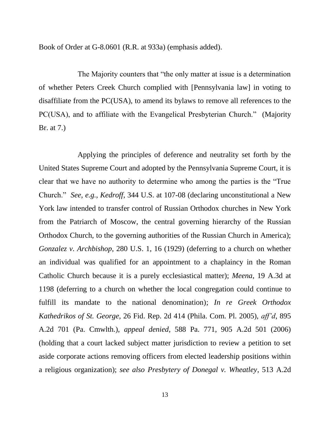Book of Order at G-8.0601 (R.R. at 933a) (emphasis added).

The Majority counters that "the only matter at issue is a determination of whether Peters Creek Church complied with [Pennsylvania law] in voting to disaffiliate from the PC(USA), to amend its bylaws to remove all references to the PC(USA), and to affiliate with the Evangelical Presbyterian Church." (Majority Br. at 7.)

Applying the principles of deference and neutrality set forth by the United States Supreme Court and adopted by the Pennsylvania Supreme Court, it is clear that we have no authority to determine who among the parties is the "True Church." *See, e.g.*, *Kedroff*, 344 U.S. at 107-08 (declaring unconstitutional a New York law intended to transfer control of Russian Orthodox churches in New York from the Patriarch of Moscow, the central governing hierarchy of the Russian Orthodox Church, to the governing authorities of the Russian Church in America); *Gonzalez v. Archbishop*, 280 U.S. 1, 16 (1929) (deferring to a church on whether an individual was qualified for an appointment to a chaplaincy in the Roman Catholic Church because it is a purely ecclesiastical matter); *Meena*, 19 A.3d at 1198 (deferring to a church on whether the local congregation could continue to fulfill its mandate to the national denomination); *In re Greek Orthodox Kathedrikos of St. George*, 26 Fid. Rep. 2d 414 (Phila. Com. Pl. 2005), *aff'd*, 895 A.2d 701 (Pa. Cmwlth.), *appeal denied*, 588 Pa. 771, 905 A.2d 501 (2006) (holding that a court lacked subject matter jurisdiction to review a petition to set aside corporate actions removing officers from elected leadership positions within a religious organization); *see also Presbytery of Donegal v. Wheatley*, 513 A.2d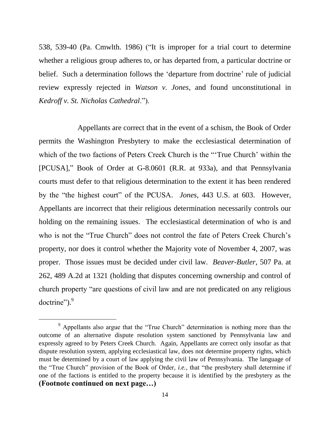538, 539-40 (Pa. Cmwlth. 1986) ("It is improper for a trial court to determine whether a religious group adheres to, or has departed from, a particular doctrine or belief. Such a determination follows the 'departure from doctrine' rule of judicial review expressly rejected in *Watson v. Jones*, and found unconstitutional in *Kedroff v. St. Nicholas Cathedral*.").

Appellants are correct that in the event of a schism, the Book of Order permits the Washington Presbytery to make the ecclesiastical determination of which of the two factions of Peters Creek Church is the "True Church' within the [PCUSA]," Book of Order at G-8.0601 (R.R. at 933a), and that Pennsylvania courts must defer to that religious determination to the extent it has been rendered by the "the highest court" of the PCUSA. *Jones*, 443 U.S. at 603. However, Appellants are incorrect that their religious determination necessarily controls our holding on the remaining issues. The ecclesiastical determination of who is and who is not the "True Church" does not control the fate of Peters Creek Church's property, nor does it control whether the Majority vote of November 4, 2007, was proper. Those issues must be decided under civil law. *Beaver-Butler*, 507 Pa. at 262, 489 A.2d at 1321 (holding that disputes concerning ownership and control of church property "are questions of civil law and are not predicated on any religious doctrine").<sup>9</sup>

<sup>&</sup>lt;sup>9</sup> Appellants also argue that the "True Church" determination is nothing more than the outcome of an alternative dispute resolution system sanctioned by Pennsylvania law and expressly agreed to by Peters Creek Church. Again, Appellants are correct only insofar as that dispute resolution system, applying ecclesiastical law, does not determine property rights, which must be determined by a court of law applying the civil law of Pennsylvania. The language of the "True Church" provision of the Book of Order, *i.e.*, that "the presbytery shall determine if one of the factions is entitled to the property because it is identified by the presbytery as the **(Footnote continued on next page…)**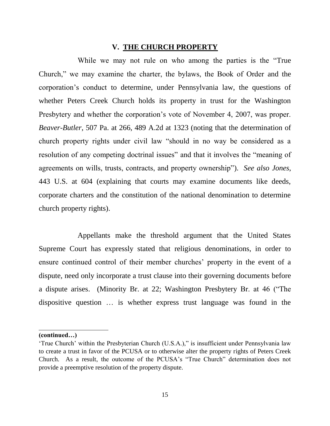## **V. THE CHURCH PROPERTY**

While we may not rule on who among the parties is the "True Church," we may examine the charter, the bylaws, the Book of Order and the corporation's conduct to determine, under Pennsylvania law, the questions of whether Peters Creek Church holds its property in trust for the Washington Presbytery and whether the corporation's vote of November 4, 2007, was proper. *Beaver-Butler*, 507 Pa. at 266, 489 A.2d at 1323 (noting that the determination of church property rights under civil law "should in no way be considered as a resolution of any competing doctrinal issues" and that it involves the "meaning of agreements on wills, trusts, contracts, and property ownership"). *See also Jones*, 443 U.S. at 604 (explaining that courts may examine documents like deeds, corporate charters and the constitution of the national denomination to determine church property rights).

Appellants make the threshold argument that the United States Supreme Court has expressly stated that religious denominations, in order to ensure continued control of their member churches' property in the event of a dispute, need only incorporate a trust clause into their governing documents before a dispute arises. (Minority Br. at 22; Washington Presbytery Br. at 46 ("The dispositive question … is whether express trust language was found in the

l

**<sup>(</sup>continued…)**

<sup>&#</sup>x27;True Church' within the Presbyterian Church (U.S.A.)," is insufficient under Pennsylvania law to create a trust in favor of the PCUSA or to otherwise alter the property rights of Peters Creek Church. As a result, the outcome of the PCUSA's "True Church" determination does not provide a preemptive resolution of the property dispute.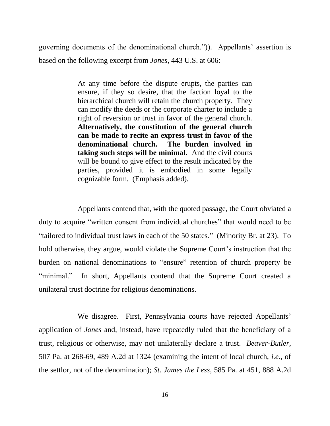governing documents of the denominational church.")). Appellants' assertion is based on the following excerpt from *Jones*, 443 U.S. at 606:

> At any time before the dispute erupts, the parties can ensure, if they so desire, that the faction loyal to the hierarchical church will retain the church property. They can modify the deeds or the corporate charter to include a right of reversion or trust in favor of the general church. **Alternatively, the constitution of the general church can be made to recite an express trust in favor of the denominational church. The burden involved in taking such steps will be minimal.** And the civil courts will be bound to give effect to the result indicated by the parties, provided it is embodied in some legally cognizable form. (Emphasis added).

Appellants contend that, with the quoted passage, the Court obviated a duty to acquire "written consent from individual churches" that would need to be "tailored to individual trust laws in each of the 50 states." (Minority Br. at 23). To hold otherwise, they argue, would violate the Supreme Court's instruction that the burden on national denominations to "ensure" retention of church property be "minimal." In short, Appellants contend that the Supreme Court created a unilateral trust doctrine for religious denominations.

We disagree. First, Pennsylvania courts have rejected Appellants' application of *Jones* and, instead, have repeatedly ruled that the beneficiary of a trust, religious or otherwise, may not unilaterally declare a trust. *Beaver-Butler*, 507 Pa. at 268-69, 489 A.2d at 1324 (examining the intent of local church, *i.e.*, of the settlor, not of the denomination); *St. James the Less*, 585 Pa. at 451, 888 A.2d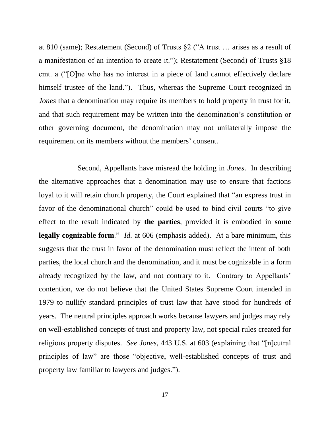at 810 (same); Restatement (Second) of Trusts §2 ("A trust … arises as a result of a manifestation of an intention to create it."); Restatement (Second) of Trusts §18 cmt. a ("[O]ne who has no interest in a piece of land cannot effectively declare himself trustee of the land."). Thus, whereas the Supreme Court recognized in *Jones* that a denomination may require its members to hold property in trust for it, and that such requirement may be written into the denomination's constitution or other governing document, the denomination may not unilaterally impose the requirement on its members without the members' consent.

Second, Appellants have misread the holding in *Jones*. In describing the alternative approaches that a denomination may use to ensure that factions loyal to it will retain church property, the Court explained that "an express trust in favor of the denominational church" could be used to bind civil courts "to give effect to the result indicated by **the parties**, provided it is embodied in **some legally cognizable form**." *Id.* at 606 (emphasis added). At a bare minimum, this suggests that the trust in favor of the denomination must reflect the intent of both parties, the local church and the denomination, and it must be cognizable in a form already recognized by the law, and not contrary to it. Contrary to Appellants' contention, we do not believe that the United States Supreme Court intended in 1979 to nullify standard principles of trust law that have stood for hundreds of years. The neutral principles approach works because lawyers and judges may rely on well-established concepts of trust and property law, not special rules created for religious property disputes. *See Jones*, 443 U.S. at 603 (explaining that "[n]eutral principles of law" are those "objective, well-established concepts of trust and property law familiar to lawyers and judges.").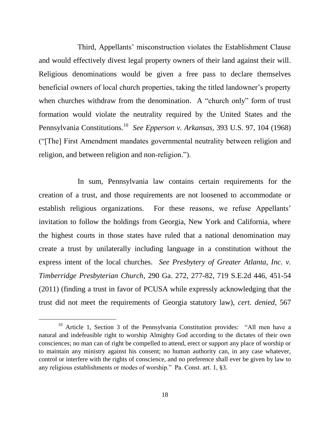Third, Appellants' misconstruction violates the Establishment Clause and would effectively divest legal property owners of their land against their will. Religious denominations would be given a free pass to declare themselves beneficial owners of local church properties, taking the titled landowner's property when churches withdraw from the denomination. A "church only" form of trust formation would violate the neutrality required by the United States and the Pennsylvania Constitutions.<sup>10</sup> *See Epperson v. Arkansas*, 393 U.S. 97, 104 (1968) ("[The] First Amendment mandates governmental neutrality between religion and religion, and between religion and non-religion.").

In sum, Pennsylvania law contains certain requirements for the creation of a trust, and those requirements are not loosened to accommodate or establish religious organizations. For these reasons, we refuse Appellants' invitation to follow the holdings from Georgia, New York and California, where the highest courts in those states have ruled that a national denomination may create a trust by unilaterally including language in a constitution without the express intent of the local churches. *See Presbytery of Greater Atlanta, Inc. v. Timberridge Presbyterian Church*, 290 Ga. 272, 277-82, 719 S.E.2d 446, 451-54 (2011) (finding a trust in favor of PCUSA while expressly acknowledging that the trust did not meet the requirements of Georgia statutory law), *cert. denied*, 567

<sup>&</sup>lt;sup>10</sup> Article 1, Section 3 of the Pennsylvania Constitution provides: "All men have a natural and indefeasible right to worship Almighty God according to the dictates of their own consciences; no man can of right be compelled to attend, erect or support any place of worship or to maintain any ministry against his consent; no human authority can, in any case whatever, control or interfere with the rights of conscience, and no preference shall ever be given by law to any religious establishments or modes of worship." Pa. Const. art. 1, §3.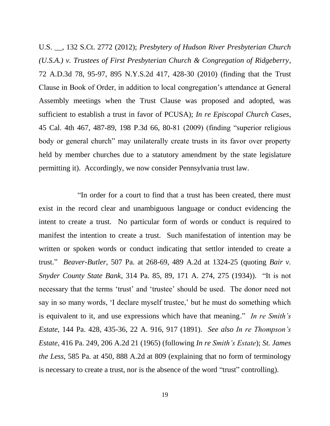U.S. \_\_, 132 S.Ct. 2772 (2012); *Presbytery of Hudson River Presbyterian Church (U.S.A.) v. Trustees of First Presbyterian Church & Congregation of Ridgeberry*, 72 A.D.3d 78, 95-97, 895 N.Y.S.2d 417, 428-30 (2010) (finding that the Trust Clause in Book of Order, in addition to local congregation's attendance at General Assembly meetings when the Trust Clause was proposed and adopted, was sufficient to establish a trust in favor of PCUSA); *In re Episcopal Church Cases*, 45 Cal. 4th 467, 487-89, 198 P.3d 66, 80-81 (2009) (finding "superior religious body or general church" may unilaterally create trusts in its favor over property held by member churches due to a statutory amendment by the state legislature permitting it). Accordingly, we now consider Pennsylvania trust law.

"In order for a court to find that a trust has been created, there must exist in the record clear and unambiguous language or conduct evidencing the intent to create a trust. No particular form of words or conduct is required to manifest the intention to create a trust. Such manifestation of intention may be written or spoken words or conduct indicating that settlor intended to create a trust." *Beaver-Butler*, 507 Pa. at 268-69, 489 A.2d at 1324-25 (quoting *Bair v. Snyder County State Bank*, 314 Pa. 85, 89, 171 A. 274, 275 (1934)). "It is not necessary that the terms 'trust' and 'trustee' should be used. The donor need not say in so many words, 'I declare myself trustee,' but he must do something which is equivalent to it, and use expressions which have that meaning." *In re Smith's Estate*, 144 Pa. 428, 435-36, 22 A. 916, 917 (1891). *See also In re Thompson's Estate*, 416 Pa. 249, 206 A.2d 21 (1965) (following *In re Smith's Estate*); *St. James the Less*, 585 Pa. at 450, 888 A.2d at 809 (explaining that no form of terminology is necessary to create a trust, nor is the absence of the word "trust" controlling).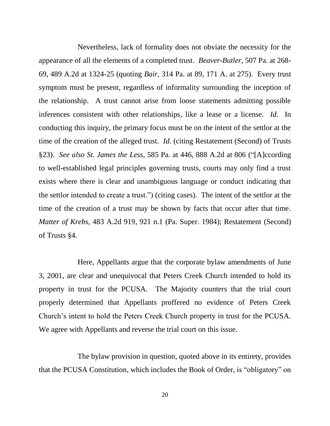Nevertheless, lack of formality does not obviate the necessity for the appearance of all the elements of a completed trust. *Beaver-Butler*, 507 Pa. at 268- 69, 489 A.2d at 1324-25 (quoting *Bair*, 314 Pa. at 89, 171 A. at 275). Every trust symptom must be present, regardless of informality surrounding the inception of the relationship. A trust cannot arise from loose statements admitting possible inferences consistent with other relationships, like a lease or a license. *Id.* In conducting this inquiry, the primary focus must be on the intent of the settlor at the time of the creation of the alleged trust. *Id.* (citing Restatement (Second) of Trusts §23). *See also St. James the Less*, 585 Pa. at 446, 888 A.2d at 806 ("[A]ccording to well-established legal principles governing trusts, courts may only find a trust exists where there is clear and unambiguous language or conduct indicating that the settlor intended to create a trust.") (citing cases). The intent of the settlor at the time of the creation of a trust may be shown by facts that occur after that time. *Matter of Krebs*, 483 A.2d 919, 921 n.1 (Pa. Super. 1984); Restatement (Second) of Trusts §4.

Here, Appellants argue that the corporate bylaw amendments of June 3, 2001, are clear and unequivocal that Peters Creek Church intended to hold its property in trust for the PCUSA. The Majority counters that the trial court properly determined that Appellants proffered no evidence of Peters Creek Church's intent to hold the Peters Creek Church property in trust for the PCUSA. We agree with Appellants and reverse the trial court on this issue.

The bylaw provision in question, quoted above in its entirety, provides that the PCUSA Constitution, which includes the Book of Order, is "obligatory" on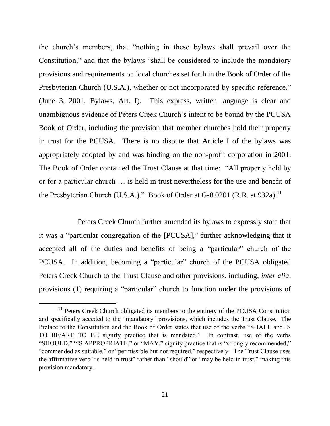the church's members, that "nothing in these bylaws shall prevail over the Constitution," and that the bylaws "shall be considered to include the mandatory provisions and requirements on local churches set forth in the Book of Order of the Presbyterian Church (U.S.A.), whether or not incorporated by specific reference." (June 3, 2001, Bylaws, Art. I). This express, written language is clear and unambiguous evidence of Peters Creek Church's intent to be bound by the PCUSA Book of Order, including the provision that member churches hold their property in trust for the PCUSA. There is no dispute that Article I of the bylaws was appropriately adopted by and was binding on the non-profit corporation in 2001. The Book of Order contained the Trust Clause at that time: "All property held by or for a particular church … is held in trust nevertheless for the use and benefit of the Presbyterian Church (U.S.A.)." Book of Order at G-8.0201 (R.R. at 932a).<sup>11</sup>

Peters Creek Church further amended its bylaws to expressly state that it was a "particular congregation of the [PCUSA]," further acknowledging that it accepted all of the duties and benefits of being a "particular" church of the PCUSA. In addition, becoming a "particular" church of the PCUSA obligated Peters Creek Church to the Trust Clause and other provisions, including, *inter alia*, provisions (1) requiring a "particular" church to function under the provisions of

<sup>&</sup>lt;sup>11</sup> Peters Creek Church obligated its members to the entirety of the PCUSA Constitution and specifically acceded to the "mandatory" provisions, which includes the Trust Clause. The Preface to the Constitution and the Book of Order states that use of the verbs "SHALL and IS TO BE/ARE TO BE signify practice that is mandated." In contrast, use of the verbs "SHOULD," "IS APPROPRIATE," or "MAY," signify practice that is "strongly recommended," "commended as suitable," or "permissible but not required," respectively. The Trust Clause uses the affirmative verb "is held in trust" rather than "should" or "may be held in trust," making this provision mandatory.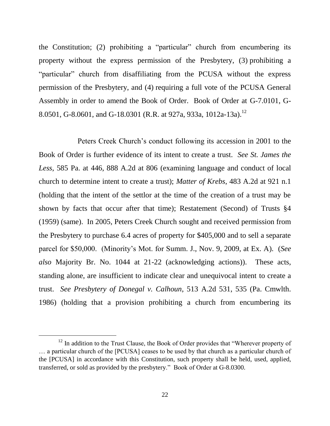the Constitution; (2) prohibiting a "particular" church from encumbering its property without the express permission of the Presbytery, (3) prohibiting a "particular" church from disaffiliating from the PCUSA without the express permission of the Presbytery, and (4) requiring a full vote of the PCUSA General Assembly in order to amend the Book of Order. Book of Order at G-7.0101, G-8.0501, G-8.0601, and G-18.0301 (R.R. at 927a, 933a, 1012a-13a).<sup>12</sup>

Peters Creek Church's conduct following its accession in 2001 to the Book of Order is further evidence of its intent to create a trust. *See St. James the Less*, 585 Pa. at 446, 888 A.2d at 806 (examining language and conduct of local church to determine intent to create a trust); *Matter of Krebs*, 483 A.2d at 921 n.1 (holding that the intent of the settlor at the time of the creation of a trust may be shown by facts that occur after that time); Restatement (Second) of Trusts §4 (1959) (same). In 2005, Peters Creek Church sought and received permission from the Presbytery to purchase 6.4 acres of property for \$405,000 and to sell a separate parcel for \$50,000. (Minority's Mot. for Summ. J., Nov. 9, 2009, at Ex. A). (*See also* Majority Br. No. 1044 at 21-22 (acknowledging actions)). These acts, standing alone, are insufficient to indicate clear and unequivocal intent to create a trust. *See Presbytery of Donegal v. Calhoun*, 513 A.2d 531, 535 (Pa. Cmwlth. 1986) (holding that a provision prohibiting a church from encumbering its

<sup>&</sup>lt;sup>12</sup> In addition to the Trust Clause, the Book of Order provides that "Wherever property of … a particular church of the [PCUSA] ceases to be used by that church as a particular church of the [PCUSA] in accordance with this Constitution, such property shall be held, used, applied, transferred, or sold as provided by the presbytery." Book of Order at G-8.0300.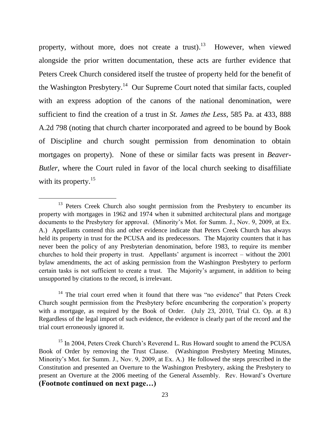property, without more, does not create a trust).<sup>13</sup> However, when viewed alongside the prior written documentation, these acts are further evidence that Peters Creek Church considered itself the trustee of property held for the benefit of the Washington Presbytery.<sup>14</sup> Our Supreme Court noted that similar facts, coupled with an express adoption of the canons of the national denomination, were sufficient to find the creation of a trust in *St. James the Less*, 585 Pa. at 433, 888 A.2d 798 (noting that church charter incorporated and agreed to be bound by Book of Discipline and church sought permission from denomination to obtain mortgages on property). None of these or similar facts was present in *Beaver-Butler*, where the Court ruled in favor of the local church seeking to disaffiliate with its property.<sup>15</sup>

l

 $14$  The trial court erred when it found that there was "no evidence" that Peters Creek Church sought permission from the Presbytery before encumbering the corporation's property with a mortgage, as required by the Book of Order. (July 23, 2010, Trial Ct. Op. at 8.) Regardless of the legal import of such evidence, the evidence is clearly part of the record and the trial court erroneously ignored it.

<sup>15</sup> In 2004, Peters Creek Church's Reverend L. Rus Howard sought to amend the PCUSA Book of Order by removing the Trust Clause. (Washington Presbytery Meeting Minutes, Minority's Mot. for Summ. J., Nov. 9, 2009, at Ex. A.) He followed the steps prescribed in the Constitution and presented an Overture to the Washington Presbytery, asking the Presbytery to present an Overture at the 2006 meeting of the General Assembly. Rev. Howard's Overture **(Footnote continued on next page…)**

 $13$  Peters Creek Church also sought permission from the Presbytery to encumber its property with mortgages in 1962 and 1974 when it submitted architectural plans and mortgage documents to the Presbytery for approval. (Minority's Mot. for Summ. J., Nov. 9, 2009, at Ex. A.) Appellants contend this and other evidence indicate that Peters Creek Church has always held its property in trust for the PCUSA and its predecessors. The Majority counters that it has never been the policy of any Presbyterian denomination, before 1983, to require its member churches to hold their property in trust. Appellants' argument is incorrect – without the 2001 bylaw amendments, the act of asking permission from the Washington Presbytery to perform certain tasks is not sufficient to create a trust. The Majority's argument, in addition to being unsupported by citations to the record, is irrelevant.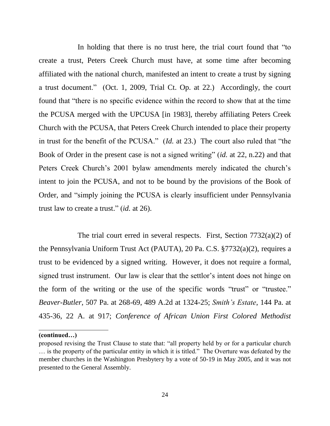In holding that there is no trust here, the trial court found that "to" create a trust, Peters Creek Church must have, at some time after becoming affiliated with the national church, manifested an intent to create a trust by signing a trust document." (Oct. 1, 2009, Trial Ct. Op. at 22.) Accordingly, the court found that "there is no specific evidence within the record to show that at the time the PCUSA merged with the UPCUSA [in 1983], thereby affiliating Peters Creek Church with the PCUSA, that Peters Creek Church intended to place their property in trust for the benefit of the PCUSA." (*Id.* at 23.) The court also ruled that "the Book of Order in the present case is not a signed writing" (*id.* at 22, n.22) and that Peters Creek Church's 2001 bylaw amendments merely indicated the church's intent to join the PCUSA, and not to be bound by the provisions of the Book of Order, and "simply joining the PCUSA is clearly insufficient under Pennsylvania trust law to create a trust." (*id.* at 26).

The trial court erred in several respects. First, Section 7732(a)(2) of the Pennsylvania Uniform Trust Act (PAUTA), 20 Pa. C.S. §7732(a)(2), requires a trust to be evidenced by a signed writing. However, it does not require a formal, signed trust instrument. Our law is clear that the settlor's intent does not hinge on the form of the writing or the use of the specific words "trust" or "trustee." *Beaver-Butler*, 507 Pa. at 268-69, 489 A.2d at 1324-25; *Smith's Estate*, 144 Pa. at 435-36, 22 A. at 917; *Conference of African Union First Colored Methodist* 

#### **(continued…)**

l

proposed revising the Trust Clause to state that: "all property held by or for a particular church … is the property of the particular entity in which it is titled." The Overture was defeated by the member churches in the Washington Presbytery by a vote of 50-19 in May 2005, and it was not presented to the General Assembly.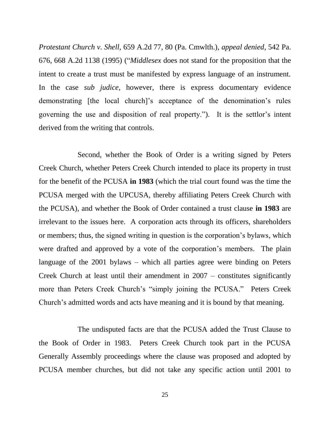*Protestant Church v. Shell,* 659 A.2d 77, 80 (Pa. Cmwlth.), *appeal denied*, 542 Pa. 676, 668 A.2d 1138 (1995) ("*Middlesex* does not stand for the proposition that the intent to create a trust must be manifested by express language of an instrument. In the case *sub judice*, however, there is express documentary evidence demonstrating [the local church]'s acceptance of the denomination's rules governing the use and disposition of real property."). It is the settlor's intent derived from the writing that controls.

Second, whether the Book of Order is a writing signed by Peters Creek Church, whether Peters Creek Church intended to place its property in trust for the benefit of the PCUSA **in 1983** (which the trial court found was the time the PCUSA merged with the UPCUSA, thereby affiliating Peters Creek Church with the PCUSA), and whether the Book of Order contained a trust clause **in 1983** are irrelevant to the issues here. A corporation acts through its officers, shareholders or members; thus, the signed writing in question is the corporation's bylaws, which were drafted and approved by a vote of the corporation's members. The plain language of the 2001 bylaws – which all parties agree were binding on Peters Creek Church at least until their amendment in 2007 – constitutes significantly more than Peters Creek Church's "simply joining the PCUSA." Peters Creek Church's admitted words and acts have meaning and it is bound by that meaning.

The undisputed facts are that the PCUSA added the Trust Clause to the Book of Order in 1983. Peters Creek Church took part in the PCUSA Generally Assembly proceedings where the clause was proposed and adopted by PCUSA member churches, but did not take any specific action until 2001 to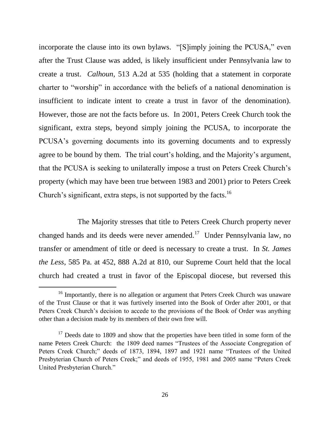incorporate the clause into its own bylaws. "[S]imply joining the PCUSA," even after the Trust Clause was added, is likely insufficient under Pennsylvania law to create a trust. *Calhoun*, 513 A.2d at 535 (holding that a statement in corporate charter to "worship" in accordance with the beliefs of a national denomination is insufficient to indicate intent to create a trust in favor of the denomination). However, those are not the facts before us. In 2001, Peters Creek Church took the significant, extra steps, beyond simply joining the PCUSA, to incorporate the PCUSA's governing documents into its governing documents and to expressly agree to be bound by them. The trial court's holding, and the Majority's argument, that the PCUSA is seeking to unilaterally impose a trust on Peters Creek Church's property (which may have been true between 1983 and 2001) prior to Peters Creek Church's significant, extra steps, is not supported by the facts.<sup>16</sup>

The Majority stresses that title to Peters Creek Church property never changed hands and its deeds were never amended.<sup>17</sup> Under Pennsylvania law, no transfer or amendment of title or deed is necessary to create a trust. In *St. James the Less*, 585 Pa. at 452, 888 A.2d at 810, our Supreme Court held that the local church had created a trust in favor of the Episcopal diocese, but reversed this

<sup>&</sup>lt;sup>16</sup> Importantly, there is no allegation or argument that Peters Creek Church was unaware of the Trust Clause or that it was furtively inserted into the Book of Order after 2001, or that Peters Creek Church's decision to accede to the provisions of the Book of Order was anything other than a decision made by its members of their own free will.

 $17$  Deeds date to 1809 and show that the properties have been titled in some form of the name Peters Creek Church: the 1809 deed names "Trustees of the Associate Congregation of Peters Creek Church;" deeds of 1873, 1894, 1897 and 1921 name "Trustees of the United Presbyterian Church of Peters Creek;" and deeds of 1955, 1981 and 2005 name "Peters Creek United Presbyterian Church."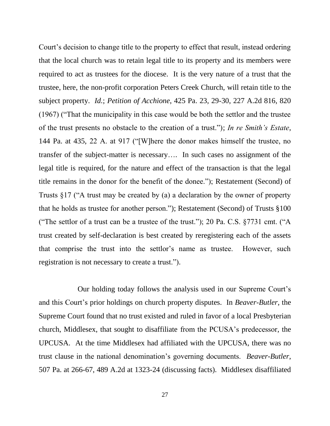Court's decision to change title to the property to effect that result, instead ordering that the local church was to retain legal title to its property and its members were required to act as trustees for the diocese. It is the very nature of a trust that the trustee, here, the non-profit corporation Peters Creek Church, will retain title to the subject property. *Id.*; *Petition of Acchione*, 425 Pa. 23, 29-30, 227 A.2d 816, 820 (1967) ("That the municipality in this case would be both the settlor and the trustee of the trust presents no obstacle to the creation of a trust."); *In re Smith's Estate*, 144 Pa. at 435, 22 A. at 917 ("[W]here the donor makes himself the trustee, no transfer of the subject-matter is necessary…. In such cases no assignment of the legal title is required, for the nature and effect of the transaction is that the legal title remains in the donor for the benefit of the donee."); Restatement (Second) of Trusts §17 ("A trust may be created by (a) a declaration by the owner of property that he holds as trustee for another person."); Restatement (Second) of Trusts §100 ("The settlor of a trust can be a trustee of the trust."); 20 Pa. C.S.  $\S 7731$  cmt. ("A trust created by self-declaration is best created by reregistering each of the assets that comprise the trust into the settlor's name as trustee. However, such registration is not necessary to create a trust.").

Our holding today follows the analysis used in our Supreme Court's and this Court's prior holdings on church property disputes. In *Beaver-Butler*, the Supreme Court found that no trust existed and ruled in favor of a local Presbyterian church, Middlesex, that sought to disaffiliate from the PCUSA's predecessor, the UPCUSA. At the time Middlesex had affiliated with the UPCUSA, there was no trust clause in the national denomination's governing documents. *Beaver-Butler*, 507 Pa. at 266-67, 489 A.2d at 1323-24 (discussing facts). Middlesex disaffiliated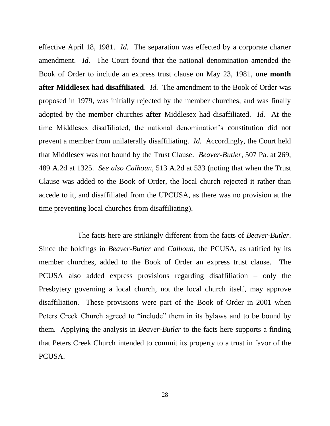effective April 18, 1981. *Id.* The separation was effected by a corporate charter amendment. *Id.* The Court found that the national denomination amended the Book of Order to include an express trust clause on May 23, 1981, **one month after Middlesex had disaffiliated**. *Id.* The amendment to the Book of Order was proposed in 1979, was initially rejected by the member churches, and was finally adopted by the member churches **after** Middlesex had disaffiliated. *Id.* At the time Middlesex disaffiliated, the national denomination's constitution did not prevent a member from unilaterally disaffiliating. *Id.* Accordingly, the Court held that Middlesex was not bound by the Trust Clause. *Beaver-Butler*, 507 Pa. at 269, 489 A.2d at 1325. *See also Calhoun*, 513 A.2d at 533 (noting that when the Trust Clause was added to the Book of Order, the local church rejected it rather than accede to it, and disaffiliated from the UPCUSA, as there was no provision at the time preventing local churches from disaffiliating).

The facts here are strikingly different from the facts of *Beaver-Butler*. Since the holdings in *Beaver-Butler* and *Calhoun*, the PCUSA, as ratified by its member churches, added to the Book of Order an express trust clause. The PCUSA also added express provisions regarding disaffiliation – only the Presbytery governing a local church, not the local church itself, may approve disaffiliation. These provisions were part of the Book of Order in 2001 when Peters Creek Church agreed to "include" them in its bylaws and to be bound by them. Applying the analysis in *Beaver-Butler* to the facts here supports a finding that Peters Creek Church intended to commit its property to a trust in favor of the PCUSA.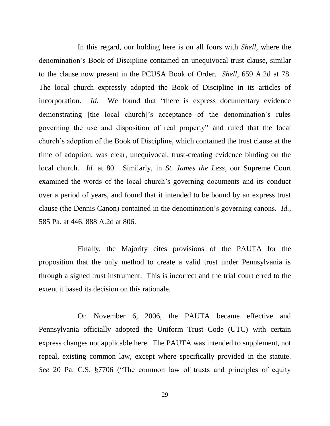In this regard, our holding here is on all fours with *Shell*, where the denomination's Book of Discipline contained an unequivocal trust clause, similar to the clause now present in the PCUSA Book of Order. *Shell*, 659 A.2d at 78. The local church expressly adopted the Book of Discipline in its articles of incorporation. *Id.* We found that "there is express documentary evidence demonstrating [the local church]'s acceptance of the denomination's rules governing the use and disposition of real property" and ruled that the local church's adoption of the Book of Discipline, which contained the trust clause at the time of adoption, was clear, unequivocal, trust-creating evidence binding on the local church. *Id.* at 80. Similarly, in *St. James the Less*, our Supreme Court examined the words of the local church's governing documents and its conduct over a period of years, and found that it intended to be bound by an express trust clause (the Dennis Canon) contained in the denomination's governing canons. *Id.*, 585 Pa. at 446, 888 A.2d at 806.

Finally, the Majority cites provisions of the PAUTA for the proposition that the only method to create a valid trust under Pennsylvania is through a signed trust instrument. This is incorrect and the trial court erred to the extent it based its decision on this rationale.

On November 6, 2006, the PAUTA became effective and Pennsylvania officially adopted the Uniform Trust Code (UTC) with certain express changes not applicable here. The PAUTA was intended to supplement, not repeal, existing common law, except where specifically provided in the statute. *See* 20 Pa. C.S. §7706 ("The common law of trusts and principles of equity

29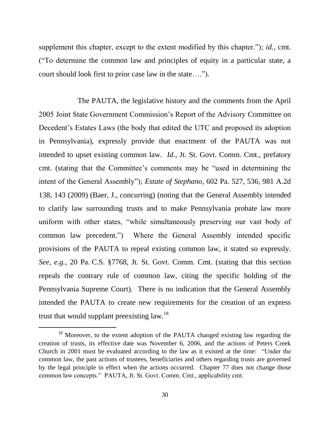supplement this chapter, except to the extent modified by this chapter."); *id.*, cmt. ("To determine the common law and principles of equity in a particular state, a court should look first to prior case law in the state….").

The PAUTA, the legislative history and the comments from the April 2005 Joint State Government Commission's Report of the Advisory Committee on Decedent's Estates Laws (the body that edited the UTC and proposed its adoption in Pennsylvania), expressly provide that enactment of the PAUTA was not intended to upset existing common law. *Id.*, Jt. St. Govt. Comm. Cmt., prefatory cmt. (stating that the Committee's comments may be "used in determining the intent of the General Assembly"); *Estate of Stephano*, 602 Pa. 527, 536, 981 A.2d 138, 143 (2009) (Baer, J., concurring) (noting that the General Assembly intended to clarify law surrounding trusts and to make Pennsylvania probate law more uniform with other states, "while simultaneously preserving our vast body of common law precedent.") Where the General Assembly intended specific provisions of the PAUTA to repeal existing common law, it stated so expressly. *See, e.g.*, 20 Pa. C.S. §7768, Jt. St. Govt. Comm. Cmt. (stating that this section repeals the contrary rule of common law, citing the specific holding of the Pennsylvania Supreme Court). There is no indication that the General Assembly intended the PAUTA to create new requirements for the creation of an express trust that would supplant preexisting law.<sup>18</sup>

<sup>&</sup>lt;sup>18</sup> Moreover, to the extent adoption of the PAUTA changed existing law regarding the creation of trusts, its effective date was November 6, 2006, and the actions of Peters Creek Church in 2001 must be evaluated according to the law as it existed at the time: "Under the common law, the past actions of trustees, beneficiaries and others regarding trusts are governed by the legal principle in effect when the actions occurred. Chapter 77 does not change those common law concepts." PAUTA, Jt. St. Govt. Comm. Cmt., applicability cmt.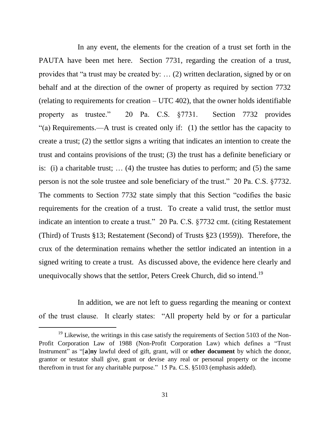In any event, the elements for the creation of a trust set forth in the PAUTA have been met here. Section 7731, regarding the creation of a trust, provides that "a trust may be created by: … (2) written declaration, signed by or on behalf and at the direction of the owner of property as required by section 7732 (relating to requirements for creation – UTC 402), that the owner holds identifiable property as trustee." 20 Pa. C.S. §7731. Section 7732 provides "(a) Requirements.—A trust is created only if: (1) the settlor has the capacity to create a trust; (2) the settlor signs a writing that indicates an intention to create the trust and contains provisions of the trust; (3) the trust has a definite beneficiary or is: (i) a charitable trust; … (4) the trustee has duties to perform; and (5) the same person is not the sole trustee and sole beneficiary of the trust." 20 Pa. C.S. §7732. The comments to Section 7732 state simply that this Section "codifies the basic requirements for the creation of a trust. To create a valid trust, the settlor must indicate an intention to create a trust." 20 Pa. C.S. §7732 cmt. (citing Restatement (Third) of Trusts §13; Restatement (Second) of Trusts §23 (1959)). Therefore, the crux of the determination remains whether the settlor indicated an intention in a signed writing to create a trust. As discussed above, the evidence here clearly and unequivocally shows that the settlor, Peters Creek Church, did so intend.<sup>19</sup>

In addition, we are not left to guess regarding the meaning or context of the trust clause. It clearly states: "All property held by or for a particular

 $19$  Likewise, the writings in this case satisfy the requirements of Section 5103 of the Non-Profit Corporation Law of 1988 (Non-Profit Corporation Law) which defines a "Trust Instrument" as "[**a**]**ny** lawful deed of gift, grant, will or **other document** by which the donor, grantor or testator shall give, grant or devise any real or personal property or the income therefrom in trust for any charitable purpose." 15 Pa. C.S. §5103 (emphasis added).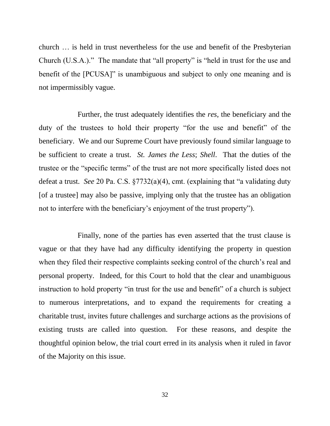church … is held in trust nevertheless for the use and benefit of the Presbyterian Church (U.S.A.)." The mandate that "all property" is "held in trust for the use and benefit of the [PCUSA]" is unambiguous and subject to only one meaning and is not impermissibly vague.

Further, the trust adequately identifies the *res*, the beneficiary and the duty of the trustees to hold their property "for the use and benefit" of the beneficiary. We and our Supreme Court have previously found similar language to be sufficient to create a trust. *St. James the Less*; *Shell*. That the duties of the trustee or the "specific terms" of the trust are not more specifically listed does not defeat a trust. *See* 20 Pa. C.S. §7732(a)(4), cmt. (explaining that "a validating duty [of a trustee] may also be passive, implying only that the trustee has an obligation not to interfere with the beneficiary's enjoyment of the trust property").

Finally, none of the parties has even asserted that the trust clause is vague or that they have had any difficulty identifying the property in question when they filed their respective complaints seeking control of the church's real and personal property. Indeed, for this Court to hold that the clear and unambiguous instruction to hold property "in trust for the use and benefit" of a church is subject to numerous interpretations, and to expand the requirements for creating a charitable trust, invites future challenges and surcharge actions as the provisions of existing trusts are called into question. For these reasons, and despite the thoughtful opinion below, the trial court erred in its analysis when it ruled in favor of the Majority on this issue.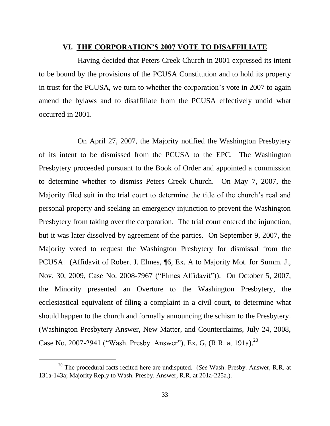#### **VI. THE CORPORATION'S 2007 VOTE TO DISAFFILIATE**

Having decided that Peters Creek Church in 2001 expressed its intent to be bound by the provisions of the PCUSA Constitution and to hold its property in trust for the PCUSA, we turn to whether the corporation's vote in 2007 to again amend the bylaws and to disaffiliate from the PCUSA effectively undid what occurred in 2001.

On April 27, 2007, the Majority notified the Washington Presbytery of its intent to be dismissed from the PCUSA to the EPC. The Washington Presbytery proceeded pursuant to the Book of Order and appointed a commission to determine whether to dismiss Peters Creek Church. On May 7, 2007, the Majority filed suit in the trial court to determine the title of the church's real and personal property and seeking an emergency injunction to prevent the Washington Presbytery from taking over the corporation. The trial court entered the injunction, but it was later dissolved by agreement of the parties. On September 9, 2007, the Majority voted to request the Washington Presbytery for dismissal from the PCUSA. (Affidavit of Robert J. Elmes, ¶6, Ex. A to Majority Mot. for Summ. J., Nov. 30, 2009, Case No. 2008-7967 ("Elmes Affidavit")). On October 5, 2007, the Minority presented an Overture to the Washington Presbytery, the ecclesiastical equivalent of filing a complaint in a civil court, to determine what should happen to the church and formally announcing the schism to the Presbytery. (Washington Presbytery Answer, New Matter, and Counterclaims, July 24, 2008, Case No. 2007-2941 ("Wash. Presby. Answer"), Ex. G, (R.R. at 191a).<sup>20</sup>

<sup>20</sup> The procedural facts recited here are undisputed. (*See* Wash. Presby. Answer, R.R. at 131a-143a; Majority Reply to Wash. Presby. Answer, R.R. at 201a-225a.).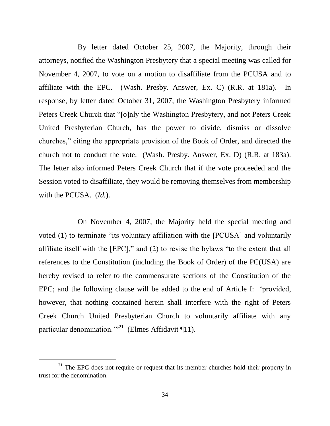By letter dated October 25, 2007, the Majority, through their attorneys, notified the Washington Presbytery that a special meeting was called for November 4, 2007, to vote on a motion to disaffiliate from the PCUSA and to affiliate with the EPC. (Wash. Presby. Answer, Ex. C) (R.R. at 181a). In response, by letter dated October 31, 2007, the Washington Presbytery informed Peters Creek Church that "[o]nly the Washington Presbytery, and not Peters Creek United Presbyterian Church, has the power to divide, dismiss or dissolve churches," citing the appropriate provision of the Book of Order, and directed the church not to conduct the vote. (Wash. Presby. Answer, Ex. D) (R.R. at 183a). The letter also informed Peters Creek Church that if the vote proceeded and the Session voted to disaffiliate, they would be removing themselves from membership with the PCUSA. (*Id.*).

On November 4, 2007, the Majority held the special meeting and voted (1) to terminate "its voluntary affiliation with the [PCUSA] and voluntarily affiliate itself with the [EPC]," and (2) to revise the bylaws "to the extent that all references to the Constitution (including the Book of Order) of the PC(USA) are hereby revised to refer to the commensurate sections of the Constitution of the EPC; and the following clause will be added to the end of Article I: 'provided, however, that nothing contained herein shall interfere with the right of Peters Creek Church United Presbyterian Church to voluntarily affiliate with any particular denomination."<sup>21</sup> (Elmes Affidavit ¶11).

 $21$  The EPC does not require or request that its member churches hold their property in trust for the denomination.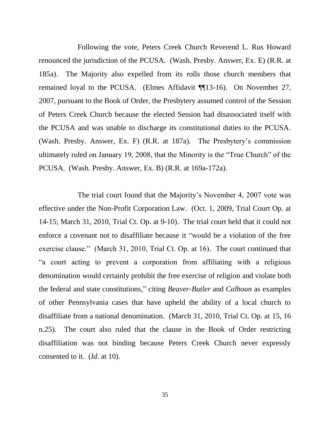Following the vote, Peters Creek Church Reverend L. Rus Howard renounced the jurisdiction of the PCUSA. (Wash. Presby. Answer, Ex. E) (R.R. at 185a). The Majority also expelled from its rolls those church members that remained loyal to the PCUSA. (Elmes Affidavit ¶¶13-16). On November 27, 2007, pursuant to the Book of Order, the Presbytery assumed control of the Session of Peters Creek Church because the elected Session had disassociated itself with the PCUSA and was unable to discharge its constitutional duties to the PCUSA. (Wash. Presby. Answer, Ex. F) (R.R. at 187a). The Presbytery's commission ultimately ruled on January 19, 2008, that the Minority is the "True Church" of the PCUSA. (Wash. Presby. Answer, Ex. B) (R.R. at 169a-172a).

The trial court found that the Majority's November 4, 2007 vote was effective under the Non-Profit Corporation Law. (Oct. 1, 2009, Trial Court Op. at 14-15; March 31, 2010, Trial Ct. Op. at 9-10). The trial court held that it could not enforce a covenant not to disaffiliate because it "would be a violation of the free exercise clause." (March 31, 2010, Trial Ct. Op. at 16). The court continued that "a court acting to prevent a corporation from affiliating with a religious denomination would certainly prohibit the free exercise of religion and violate both the federal and state constitutions," citing *Beaver-Butler* and *Calhoun* as examples of other Pennsylvania cases that have upheld the ability of a local church to disaffiliate from a national denomination. (March 31, 2010, Trial Ct. Op. at 15, 16 n.25). The court also ruled that the clause in the Book of Order restricting disaffiliation was not binding because Peters Creek Church never expressly consented to it. (*Id.* at 10).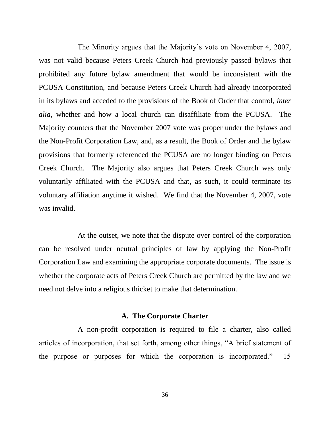The Minority argues that the Majority's vote on November 4, 2007, was not valid because Peters Creek Church had previously passed bylaws that prohibited any future bylaw amendment that would be inconsistent with the PCUSA Constitution, and because Peters Creek Church had already incorporated in its bylaws and acceded to the provisions of the Book of Order that control, *inter alia*, whether and how a local church can disaffiliate from the PCUSA. The Majority counters that the November 2007 vote was proper under the bylaws and the Non-Profit Corporation Law, and, as a result, the Book of Order and the bylaw provisions that formerly referenced the PCUSA are no longer binding on Peters Creek Church. The Majority also argues that Peters Creek Church was only voluntarily affiliated with the PCUSA and that, as such, it could terminate its voluntary affiliation anytime it wished. We find that the November 4, 2007, vote was invalid.

At the outset, we note that the dispute over control of the corporation can be resolved under neutral principles of law by applying the Non-Profit Corporation Law and examining the appropriate corporate documents. The issue is whether the corporate acts of Peters Creek Church are permitted by the law and we need not delve into a religious thicket to make that determination.

#### **A. The Corporate Charter**

A non-profit corporation is required to file a charter, also called articles of incorporation, that set forth, among other things, "A brief statement of the purpose or purposes for which the corporation is incorporated." 15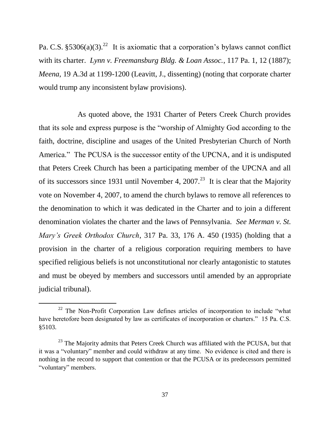Pa. C.S.  $$5306(a)(3).^{22}$  It is axiomatic that a corporation's bylaws cannot conflict with its charter. *Lynn v. Freemansburg Bldg. & Loan Assoc.*, 117 Pa. 1, 12 (1887); *Meena*, 19 A.3d at 1199-1200 (Leavitt, J., dissenting) (noting that corporate charter would trump any inconsistent bylaw provisions).

As quoted above, the 1931 Charter of Peters Creek Church provides that its sole and express purpose is the "worship of Almighty God according to the faith, doctrine, discipline and usages of the United Presbyterian Church of North America." The PCUSA is the successor entity of the UPCNA, and it is undisputed that Peters Creek Church has been a participating member of the UPCNA and all of its successors since 1931 until November 4, 2007.<sup>23</sup> It is clear that the Majority vote on November 4, 2007, to amend the church bylaws to remove all references to the denomination to which it was dedicated in the Charter and to join a different denomination violates the charter and the laws of Pennsylvania. *See Merman v. St. Mary's Greek Orthodox Church*, 317 Pa. 33, 176 A. 450 (1935) (holding that a provision in the charter of a religious corporation requiring members to have specified religious beliefs is not unconstitutional nor clearly antagonistic to statutes and must be obeyed by members and successors until amended by an appropriate judicial tribunal).

<sup>&</sup>lt;sup>22</sup> The Non-Profit Corporation Law defines articles of incorporation to include "what have heretofore been designated by law as certificates of incorporation or charters." 15 Pa. C.S. §5103.

 $23$  The Majority admits that Peters Creek Church was affiliated with the PCUSA, but that it was a "voluntary" member and could withdraw at any time. No evidence is cited and there is nothing in the record to support that contention or that the PCUSA or its predecessors permitted "voluntary" members.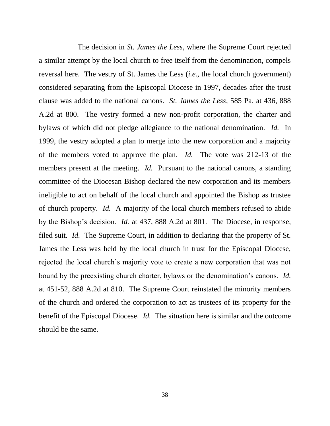The decision in *St. James the Less*, where the Supreme Court rejected a similar attempt by the local church to free itself from the denomination, compels reversal here. The vestry of St. James the Less (*i.e.*, the local church government) considered separating from the Episcopal Diocese in 1997, decades after the trust clause was added to the national canons. *St. James the Less*, 585 Pa. at 436, 888 A.2d at 800. The vestry formed a new non-profit corporation, the charter and bylaws of which did not pledge allegiance to the national denomination. *Id.* In 1999, the vestry adopted a plan to merge into the new corporation and a majority of the members voted to approve the plan. *Id.* The vote was 212-13 of the members present at the meeting. *Id.* Pursuant to the national canons, a standing committee of the Diocesan Bishop declared the new corporation and its members ineligible to act on behalf of the local church and appointed the Bishop as trustee of church property. *Id.* A majority of the local church members refused to abide by the Bishop's decision. *Id.* at 437, 888 A.2d at 801. The Diocese, in response, filed suit. *Id.* The Supreme Court, in addition to declaring that the property of St. James the Less was held by the local church in trust for the Episcopal Diocese, rejected the local church's majority vote to create a new corporation that was not bound by the preexisting church charter, bylaws or the denomination's canons. *Id.* at 451-52, 888 A.2d at 810. The Supreme Court reinstated the minority members of the church and ordered the corporation to act as trustees of its property for the benefit of the Episcopal Diocese. *Id.* The situation here is similar and the outcome should be the same.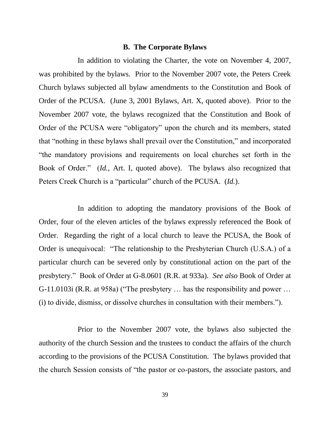#### **B. The Corporate Bylaws**

In addition to violating the Charter, the vote on November 4, 2007, was prohibited by the bylaws. Prior to the November 2007 vote, the Peters Creek Church bylaws subjected all bylaw amendments to the Constitution and Book of Order of the PCUSA. (June 3, 2001 Bylaws, Art. X, quoted above). Prior to the November 2007 vote, the bylaws recognized that the Constitution and Book of Order of the PCUSA were "obligatory" upon the church and its members, stated that "nothing in these bylaws shall prevail over the Constitution," and incorporated "the mandatory provisions and requirements on local churches set forth in the Book of Order." (*Id.*, Art. I, quoted above). The bylaws also recognized that Peters Creek Church is a "particular" church of the PCUSA. (*Id.*).

In addition to adopting the mandatory provisions of the Book of Order, four of the eleven articles of the bylaws expressly referenced the Book of Order. Regarding the right of a local church to leave the PCUSA, the Book of Order is unequivocal: "The relationship to the Presbyterian Church (U.S.A.) of a particular church can be severed only by constitutional action on the part of the presbytery." Book of Order at G-8.0601 (R.R. at 933a). *See also* Book of Order at G-11.0103i (R.R. at 958a) ("The presbytery … has the responsibility and power … (i) to divide, dismiss, or dissolve churches in consultation with their members.").

Prior to the November 2007 vote, the bylaws also subjected the authority of the church Session and the trustees to conduct the affairs of the church according to the provisions of the PCUSA Constitution. The bylaws provided that the church Session consists of "the pastor or co-pastors, the associate pastors, and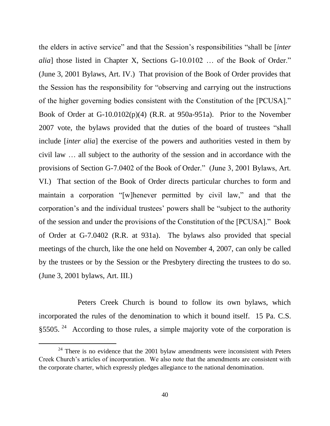the elders in active service" and that the Session's responsibilities "shall be [*inter alia*] those listed in Chapter X, Sections G-10.0102 ... of the Book of Order." (June 3, 2001 Bylaws, Art. IV.) That provision of the Book of Order provides that the Session has the responsibility for "observing and carrying out the instructions of the higher governing bodies consistent with the Constitution of the [PCUSA]." Book of Order at G-10.0102(p)(4) (R.R. at 950a-951a). Prior to the November 2007 vote, the bylaws provided that the duties of the board of trustees "shall include [*inter alia*] the exercise of the powers and authorities vested in them by civil law … all subject to the authority of the session and in accordance with the provisions of Section G-7.0402 of the Book of Order." (June 3, 2001 Bylaws, Art. VI.) That section of the Book of Order directs particular churches to form and maintain a corporation "[w]henever permitted by civil law," and that the corporation's and the individual trustees' powers shall be "subject to the authority of the session and under the provisions of the Constitution of the [PCUSA]." Book of Order at G-7.0402 (R.R. at 931a). The bylaws also provided that special meetings of the church, like the one held on November 4, 2007, can only be called by the trustees or by the Session or the Presbytery directing the trustees to do so. (June 3, 2001 bylaws, Art. III.)

Peters Creek Church is bound to follow its own bylaws, which incorporated the rules of the denomination to which it bound itself. 15 Pa. C.S. §5505.  $24$  According to those rules, a simple majority vote of the corporation is

 $24$  There is no evidence that the 2001 bylaw amendments were inconsistent with Peters Creek Church's articles of incorporation. We also note that the amendments are consistent with the corporate charter, which expressly pledges allegiance to the national denomination.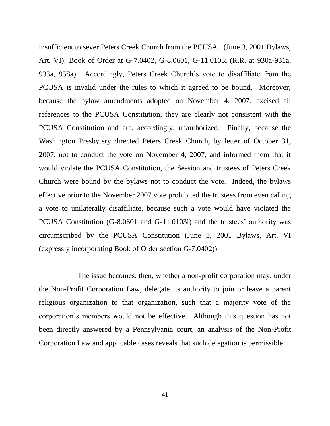insufficient to sever Peters Creek Church from the PCUSA. (June 3, 2001 Bylaws, Art. VI); Book of Order at G-7.0402, G-8.0601, G-11.0103i (R.R. at 930a-931a, 933a, 958a). Accordingly, Peters Creek Church's vote to disaffiliate from the PCUSA is invalid under the rules to which it agreed to be bound. Moreover, because the bylaw amendments adopted on November 4, 2007, excised all references to the PCUSA Constitution, they are clearly not consistent with the PCUSA Constitution and are, accordingly, unauthorized. Finally, because the Washington Presbytery directed Peters Creek Church, by letter of October 31, 2007, not to conduct the vote on November 4, 2007, and informed them that it would violate the PCUSA Constitution, the Session and trustees of Peters Creek Church were bound by the bylaws not to conduct the vote. Indeed, the bylaws effective prior to the November 2007 vote prohibited the trustees from even calling a vote to unilaterally disaffiliate, because such a vote would have violated the PCUSA Constitution (G-8.0601 and G-11.0103i) and the trustees' authority was circumscribed by the PCUSA Constitution (June 3, 2001 Bylaws, Art. VI (expressly incorporating Book of Order section G-7.0402)).

The issue becomes, then, whether a non-profit corporation may, under the Non-Profit Corporation Law, delegate its authority to join or leave a parent religious organization to that organization, such that a majority vote of the corporation's members would not be effective. Although this question has not been directly answered by a Pennsylvania court, an analysis of the Non-Profit Corporation Law and applicable cases reveals that such delegation is permissible.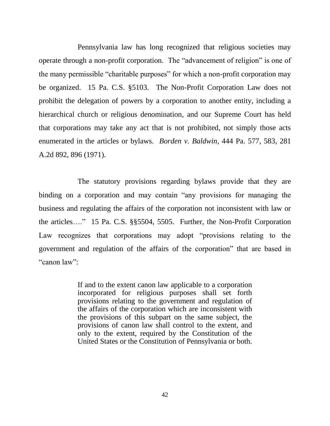Pennsylvania law has long recognized that religious societies may operate through a non-profit corporation. The "advancement of religion" is one of the many permissible "charitable purposes" for which a non-profit corporation may be organized. 15 Pa. C.S. §5103. The Non-Profit Corporation Law does not prohibit the delegation of powers by a corporation to another entity, including a hierarchical church or religious denomination, and our Supreme Court has held that corporations may take any act that is not prohibited, not simply those acts enumerated in the articles or bylaws. *Borden v. Baldwin*, 444 Pa. 577, 583, 281 A.2d 892, 896 (1971).

The statutory provisions regarding bylaws provide that they are binding on a corporation and may contain "any provisions for managing the business and regulating the affairs of the corporation not inconsistent with law or the articles…." 15 Pa. C.S. §§5504, 5505. Further, the Non-Profit Corporation Law recognizes that corporations may adopt "provisions relating to the government and regulation of the affairs of the corporation" that are based in "canon law":

> If and to the extent canon law applicable to a corporation incorporated for religious purposes shall set forth provisions relating to the government and regulation of the affairs of the corporation which are inconsistent with the provisions of this subpart on the same subject, the provisions of canon law shall control to the extent, and only to the extent, required by the Constitution of the United States or the Constitution of Pennsylvania or both.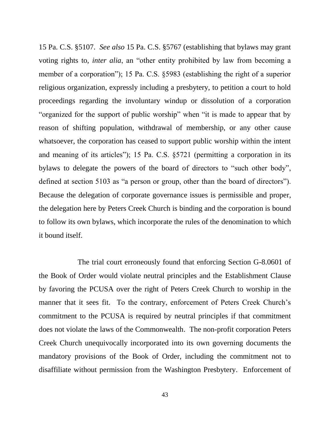15 Pa. C.S. §5107. *See also* 15 Pa. C.S. §5767 (establishing that bylaws may grant voting rights to, *inter alia*, an "other entity prohibited by law from becoming a member of a corporation"); 15 Pa. C.S. §5983 (establishing the right of a superior religious organization, expressly including a presbytery, to petition a court to hold proceedings regarding the involuntary windup or dissolution of a corporation "organized for the support of public worship" when "it is made to appear that by reason of shifting population, withdrawal of membership, or any other cause whatsoever, the corporation has ceased to support public worship within the intent and meaning of its articles"); 15 Pa. C.S. §5721 (permitting a corporation in its bylaws to delegate the powers of the board of directors to "such other body", defined at section 5103 as "a person or group, other than the board of directors"). Because the delegation of corporate governance issues is permissible and proper, the delegation here by Peters Creek Church is binding and the corporation is bound to follow its own bylaws, which incorporate the rules of the denomination to which it bound itself.

The trial court erroneously found that enforcing Section G-8.0601 of the Book of Order would violate neutral principles and the Establishment Clause by favoring the PCUSA over the right of Peters Creek Church to worship in the manner that it sees fit. To the contrary, enforcement of Peters Creek Church's commitment to the PCUSA is required by neutral principles if that commitment does not violate the laws of the Commonwealth. The non-profit corporation Peters Creek Church unequivocally incorporated into its own governing documents the mandatory provisions of the Book of Order, including the commitment not to disaffiliate without permission from the Washington Presbytery. Enforcement of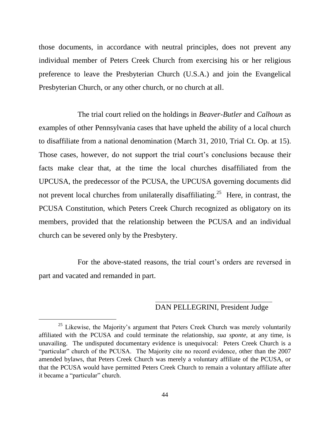those documents, in accordance with neutral principles, does not prevent any individual member of Peters Creek Church from exercising his or her religious preference to leave the Presbyterian Church (U.S.A.) and join the Evangelical Presbyterian Church, or any other church, or no church at all.

The trial court relied on the holdings in *Beaver-Butler* and *Calhoun* as examples of other Pennsylvania cases that have upheld the ability of a local church to disaffiliate from a national denomination (March 31, 2010, Trial Ct. Op. at 15). Those cases, however, do not support the trial court's conclusions because their facts make clear that, at the time the local churches disaffiliated from the UPCUSA, the predecessor of the PCUSA, the UPCUSA governing documents did not prevent local churches from unilaterally disaffiliating.<sup>25</sup> Here, in contrast, the PCUSA Constitution, which Peters Creek Church recognized as obligatory on its members, provided that the relationship between the PCUSA and an individual church can be severed only by the Presbytery.

For the above-stated reasons, the trial court's orders are reversed in part and vacated and remanded in part.

ı

 $\overline{a}$ 

## DAN PELLEGRINI, President Judge

<sup>&</sup>lt;sup>25</sup> Likewise, the Majority's argument that Peters Creek Church was merely voluntarily affiliated with the PCUSA and could terminate the relationship, *sua sponte*, at any time, is unavailing. The undisputed documentary evidence is unequivocal: Peters Creek Church is a "particular" church of the PCUSA. The Majority cite no record evidence, other than the 2007 amended bylaws, that Peters Creek Church was merely a voluntary affiliate of the PCUSA, or that the PCUSA would have permitted Peters Creek Church to remain a voluntary affiliate after it became a "particular" church.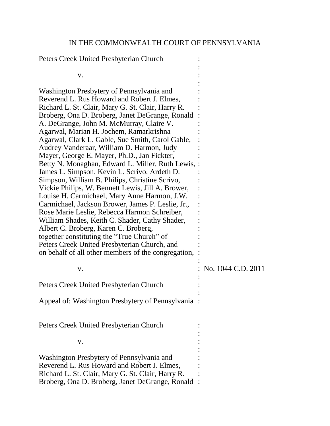## IN THE COMMONWEALTH COURT OF PENNSYLVANIA

Peters Creek United Presbyterian Church :

| V.                                                                                                    |                    |
|-------------------------------------------------------------------------------------------------------|--------------------|
|                                                                                                       |                    |
| Washington Presbytery of Pennsylvania and                                                             |                    |
| Reverend L. Rus Howard and Robert J. Elmes,<br>Richard L. St. Clair, Mary G. St. Clair, Harry R.      |                    |
| Broberg, Ona D. Broberg, Janet DeGrange, Ronald                                                       |                    |
| A. DeGrange, John M. McMurray, Claire V.                                                              |                    |
| Agarwal, Marian H. Jochem, Ramarkrishna<br>Agarwal, Clark L. Gable, Sue Smith, Carol Gable,           |                    |
| Audrey Vanderaar, William D. Harmon, Judy                                                             |                    |
| Mayer, George E. Mayer, Ph.D., Jan Fickter,                                                           |                    |
| Betty N. Monaghan, Edward L. Miller, Ruth Lewis, :                                                    |                    |
| James L. Simpson, Kevin L. Scrivo, Ardeth D.<br>Simpson, William B. Philips, Christine Scrivo,        |                    |
| Vickie Philips, W. Bennett Lewis, Jill A. Brower,                                                     |                    |
| Louise H. Carmichael, Mary Anne Harmon, J.W.                                                          |                    |
| Carmichael, Jackson Brower, James P. Leslie, Jr.,<br>Rose Marie Leslie, Rebecca Harmon Schreiber,     |                    |
| William Shades, Keith C. Shader, Cathy Shader,                                                        |                    |
| Albert C. Broberg, Karen C. Broberg,                                                                  |                    |
| together constituting the "True Church" of                                                            |                    |
| Peters Creek United Presbyterian Church, and<br>on behalf of all other members of the congregation,   |                    |
|                                                                                                       |                    |
| V.                                                                                                    | No. 1044 C.D. 2011 |
| Peters Creek United Presbyterian Church                                                               |                    |
| Appeal of: Washington Presbytery of Pennsylvania                                                      |                    |
|                                                                                                       |                    |
| Peters Creek United Presbyterian Church                                                               |                    |
|                                                                                                       |                    |
| V.                                                                                                    |                    |
| Washington Presbytery of Pennsylvania and                                                             |                    |
| Reverend L. Rus Howard and Robert J. Elmes,                                                           |                    |
| Richard L. St. Clair, Mary G. St. Clair, Harry R.<br>Broberg, Ona D. Broberg, Janet DeGrange, Ronald: |                    |
|                                                                                                       |                    |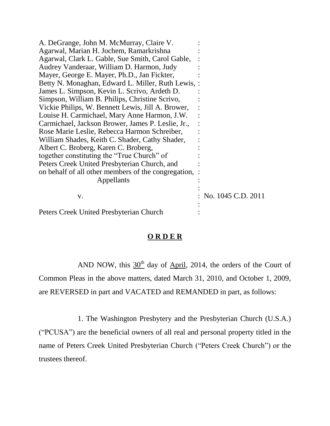| A. DeGrange, John M. McMurray, Claire V.              |                    |
|-------------------------------------------------------|--------------------|
| Agarwal, Marian H. Jochem, Ramarkrishna               |                    |
| Agarwal, Clark L. Gable, Sue Smith, Carol Gable,      |                    |
| Audrey Vanderaar, William D. Harmon, Judy             |                    |
| Mayer, George E. Mayer, Ph.D., Jan Fickter,           |                    |
| Betty N. Monaghan, Edward L. Miller, Ruth Lewis, :    |                    |
| James L. Simpson, Kevin L. Scrivo, Ardeth D.          |                    |
| Simpson, William B. Philips, Christine Scrivo,        |                    |
| Vickie Philips, W. Bennett Lewis, Jill A. Brower,     |                    |
| Louise H. Carmichael, Mary Anne Harmon, J.W.          |                    |
| Carmichael, Jackson Brower, James P. Leslie, Jr.,     |                    |
| Rose Marie Leslie, Rebecca Harmon Schreiber,          |                    |
| William Shades, Keith C. Shader, Cathy Shader,        |                    |
| Albert C. Broberg, Karen C. Broberg,                  |                    |
| together constituting the "True Church" of            |                    |
| Peters Creek United Presbyterian Church, and          |                    |
| on behalf of all other members of the congregation, : |                    |
| Appellants                                            |                    |
|                                                       |                    |
| V.                                                    | No. 1045 C.D. 2011 |
| Peters Creek United Presbyterian Church               |                    |

## **O R D E R**

AND NOW, this  $30<sup>th</sup>$  day of April, 2014, the orders of the Court of Common Pleas in the above matters, dated March 31, 2010, and October 1, 2009, are REVERSED in part and VACATED and REMANDED in part, as follows:

1. The Washington Presbytery and the Presbyterian Church (U.S.A.) ("PCUSA") are the beneficial owners of all real and personal property titled in the name of Peters Creek United Presbyterian Church ("Peters Creek Church") or the trustees thereof.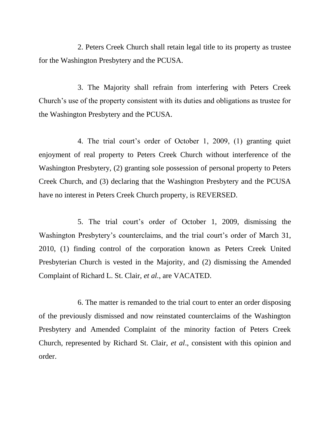2. Peters Creek Church shall retain legal title to its property as trustee for the Washington Presbytery and the PCUSA.

3. The Majority shall refrain from interfering with Peters Creek Church's use of the property consistent with its duties and obligations as trustee for the Washington Presbytery and the PCUSA.

4. The trial court's order of October 1, 2009, (1) granting quiet enjoyment of real property to Peters Creek Church without interference of the Washington Presbytery, (2) granting sole possession of personal property to Peters Creek Church, and (3) declaring that the Washington Presbytery and the PCUSA have no interest in Peters Creek Church property, is REVERSED.

5. The trial court's order of October 1, 2009, dismissing the Washington Presbytery's counterclaims, and the trial court's order of March 31, 2010, (1) finding control of the corporation known as Peters Creek United Presbyterian Church is vested in the Majority, and (2) dismissing the Amended Complaint of Richard L. St. Clair, *et al.*, are VACATED.

6. The matter is remanded to the trial court to enter an order disposing of the previously dismissed and now reinstated counterclaims of the Washington Presbytery and Amended Complaint of the minority faction of Peters Creek Church, represented by Richard St. Clair, *et al*., consistent with this opinion and order.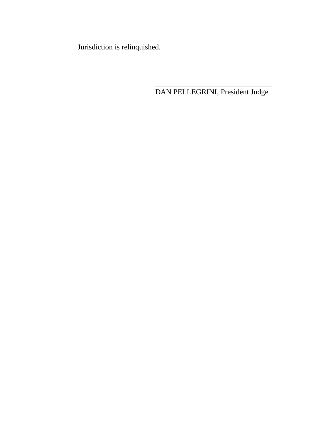Jurisdiction is relinquished.

DAN PELLEGRINI, President Judge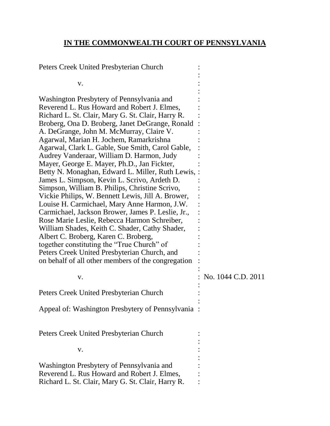## **IN THE COMMONWEALTH COURT OF PENNSYLVANIA**

Peters Creek United Presbyterian Church : :  $\mathbf{v}$ .  $\vdots$ : Washington Presbytery of Pennsylvania and : Reverend L. Rus Howard and Robert J. Elmes, : Richard L. St. Clair, Mary G. St. Clair, Harry R. : Broberg, Ona D. Broberg, Janet DeGrange, Ronald : A. DeGrange, John M. McMurray, Claire V. : Agarwal, Marian H. Jochem, Ramarkrishna : Agarwal, Clark L. Gable, Sue Smith, Carol Gable, : Audrey Vanderaar, William D. Harmon, Judy : Mayer, George E. Mayer, Ph.D., Jan Fickter, : Betty N. Monaghan, Edward L. Miller, Ruth Lewis, : James L. Simpson, Kevin L. Scrivo, Ardeth D. : Simpson, William B. Philips, Christine Scrivo, : Vickie Philips, W. Bennett Lewis, Jill A. Brower, : Louise H. Carmichael, Mary Anne Harmon, J.W. : Carmichael, Jackson Brower, James P. Leslie, Jr., : Rose Marie Leslie, Rebecca Harmon Schreiber, : William Shades, Keith C. Shader, Cathy Shader, Albert C. Broberg, Karen C. Broberg, : together constituting the "True Church" of : Peters Creek United Presbyterian Church, and : on behalf of all other members of the congregation : : v. : No. 1044 C.D. 2011 : Peters Creek United Presbyterian Church : : Appeal of: Washington Presbytery of Pennsylvania : Peters Creek United Presbyterian Church : :  $\mathbf{v}$ .  $\vdots$ : Washington Presbytery of Pennsylvania and : Reverend L. Rus Howard and Robert J. Elmes, : Richard L. St. Clair, Mary G. St. Clair, Harry R. :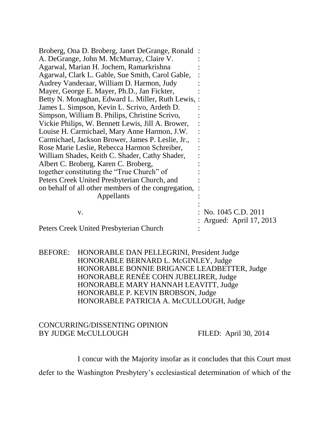| Broberg, Ona D. Broberg, Janet DeGrange, Ronald:      |                        |
|-------------------------------------------------------|------------------------|
| A. DeGrange, John M. McMurray, Claire V.              |                        |
| Agarwal, Marian H. Jochem, Ramarkrishna               |                        |
| Agarwal, Clark L. Gable, Sue Smith, Carol Gable,      |                        |
| Audrey Vanderaar, William D. Harmon, Judy             |                        |
| Mayer, George E. Mayer, Ph.D., Jan Fickter,           |                        |
| Betty N. Monaghan, Edward L. Miller, Ruth Lewis, :    |                        |
| James L. Simpson, Kevin L. Scrivo, Ardeth D.          |                        |
| Simpson, William B. Philips, Christine Scrivo,        |                        |
| Vickie Philips, W. Bennett Lewis, Jill A. Brower,     |                        |
| Louise H. Carmichael, Mary Anne Harmon, J.W.          |                        |
| Carmichael, Jackson Brower, James P. Leslie, Jr.,     |                        |
| Rose Marie Leslie, Rebecca Harmon Schreiber,          |                        |
| William Shades, Keith C. Shader, Cathy Shader,        |                        |
| Albert C. Broberg, Karen C. Broberg,                  |                        |
| together constituting the "True Church" of            |                        |
| Peters Creek United Presbyterian Church, and          |                        |
| on behalf of all other members of the congregation, : |                        |
| Appellants                                            |                        |
| V.                                                    | No. 1045 C.D. 2011     |
|                                                       | Argued: April 17, 2013 |
| Peters Creek United Presbyterian Church               |                        |

BEFORE: HONORABLE DAN PELLEGRINI, President Judge HONORABLE BERNARD L. McGINLEY, Judge HONORABLE BONNIE BRIGANCE LEADBETTER, Judge HONORABLE RENÉE COHN JUBELIRER, Judge HONORABLE MARY HANNAH LEAVITT, Judge HONORABLE P. KEVIN BROBSON, Judge HONORABLE PATRICIA A. McCULLOUGH, Judge

#### CONCURRING/DISSENTING OPINION BY JUDGE McCULLOUGH FILED: April 30, 2014

I concur with the Majority insofar as it concludes that this Court must

defer to the Washington Presbytery's ecclesiastical determination of which of the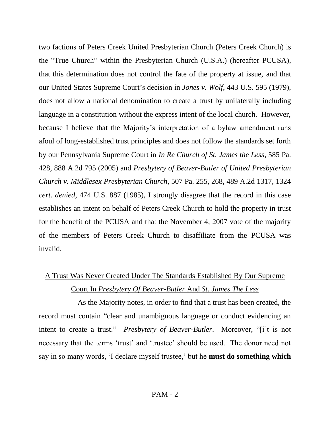two factions of Peters Creek United Presbyterian Church (Peters Creek Church) is the "True Church" within the Presbyterian Church (U.S.A.) (hereafter PCUSA), that this determination does not control the fate of the property at issue, and that our United States Supreme Court's decision in *Jones v. Wolf*, 443 U.S. 595 (1979), does not allow a national denomination to create a trust by unilaterally including language in a constitution without the express intent of the local church. However, because I believe that the Majority's interpretation of a bylaw amendment runs afoul of long-established trust principles and does not follow the standards set forth by our Pennsylvania Supreme Court in *In Re Church of St. James the Less*, 585 Pa. 428, 888 A.2d 795 (2005) and *Presbytery of Beaver-Butler of United Presbyterian Church v. Middlesex Presbyterian Church*, 507 Pa. 255, 268, 489 A.2d 1317, 1324 *cert. denied*, 474 U.S. 887 (1985), I strongly disagree that the record in this case establishes an intent on behalf of Peters Creek Church to hold the property in trust for the benefit of the PCUSA and that the November 4, 2007 vote of the majority of the members of Peters Creek Church to disaffiliate from the PCUSA was invalid.

# A Trust Was Never Created Under The Standards Established By Our Supreme Court In *Presbytery Of Beaver-Butler* And *St. James The Less*

As the Majority notes, in order to find that a trust has been created, the record must contain "clear and unambiguous language or conduct evidencing an intent to create a trust." *Presbytery of Beaver-Butler*. Moreover, "[i]t is not necessary that the terms 'trust' and 'trustee' should be used. The donor need not say in so many words, 'I declare myself trustee,' but he **must do something which**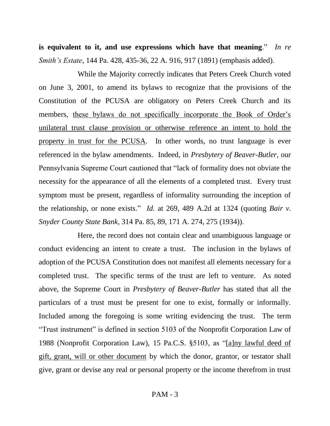**is equivalent to it, and use expressions which have that meaning**." *In re Smith's Estate*, 144 Pa. 428, 435-36, 22 A. 916, 917 (1891) (emphasis added).

While the Majority correctly indicates that Peters Creek Church voted on June 3, 2001, to amend its bylaws to recognize that the provisions of the Constitution of the PCUSA are obligatory on Peters Creek Church and its members, these bylaws do not specifically incorporate the Book of Order's unilateral trust clause provision or otherwise reference an intent to hold the property in trust for the PCUSA. In other words, no trust language is ever referenced in the bylaw amendments. Indeed, in *Presbytery of Beaver-Butler*, our Pennsylvania Supreme Court cautioned that "lack of formality does not obviate the necessity for the appearance of all the elements of a completed trust. Every trust symptom must be present, regardless of informality surrounding the inception of the relationship, or none exists." *Id.* at 269, 489 A.2d at 1324 (quoting *Bair v. Snyder County State Bank*, 314 Pa. 85, 89, 171 A. 274, 275 (1934)).

Here, the record does not contain clear and unambiguous language or conduct evidencing an intent to create a trust. The inclusion in the bylaws of adoption of the PCUSA Constitution does not manifest all elements necessary for a completed trust. The specific terms of the trust are left to venture. As noted above, the Supreme Court in *Presbytery of Beaver-Butler* has stated that all the particulars of a trust must be present for one to exist, formally or informally. Included among the foregoing is some writing evidencing the trust. The term "Trust instrument" is defined in section 5103 of the Nonprofit Corporation Law of 1988 (Nonprofit Corporation Law), 15 Pa.C.S. §5103, as "[a]ny lawful deed of gift, grant, will or other document by which the donor, grantor, or testator shall give, grant or devise any real or personal property or the income therefrom in trust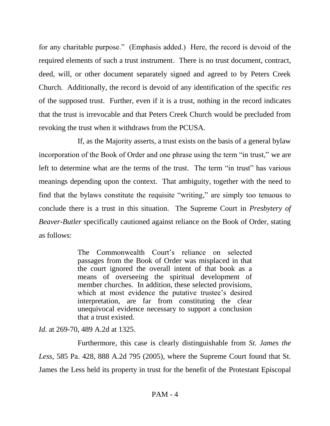for any charitable purpose." (Emphasis added.) Here, the record is devoid of the required elements of such a trust instrument. There is no trust document, contract, deed, will, or other document separately signed and agreed to by Peters Creek Church. Additionally, the record is devoid of any identification of the specific *res* of the supposed trust. Further, even if it is a trust, nothing in the record indicates that the trust is irrevocable and that Peters Creek Church would be precluded from revoking the trust when it withdraws from the PCUSA.

 If, as the Majority asserts, a trust exists on the basis of a general bylaw incorporation of the Book of Order and one phrase using the term "in trust," we are left to determine what are the terms of the trust. The term "in trust" has various meanings depending upon the context. That ambiguity, together with the need to find that the bylaws constitute the requisite "writing," are simply too tenuous to conclude there is a trust in this situation. The Supreme Court in *Presbytery of Beaver-Butler* specifically cautioned against reliance on the Book of Order, stating as follows:

> The Commonwealth Court's reliance on selected passages from the Book of Order was misplaced in that the court ignored the overall intent of that book as a means of overseeing the spiritual development of member churches. In addition, these selected provisions, which at most evidence the putative trustee's desired interpretation, are far from constituting the clear unequivocal evidence necessary to support a conclusion that a trust existed.

*Id.* at 269-70, 489 A.2d at 1325.

Furthermore, this case is clearly distinguishable from *St. James the Less*, 585 Pa. 428, 888 A.2d 795 (2005), where the Supreme Court found that St. James the Less held its property in trust for the benefit of the Protestant Episcopal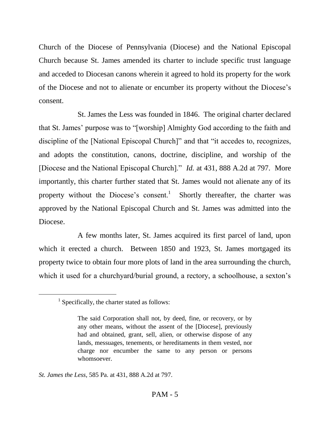Church of the Diocese of Pennsylvania (Diocese) and the National Episcopal Church because St. James amended its charter to include specific trust language and acceded to Diocesan canons wherein it agreed to hold its property for the work of the Diocese and not to alienate or encumber its property without the Diocese's consent.

St. James the Less was founded in 1846. The original charter declared that St. James' purpose was to "[worship] Almighty God according to the faith and discipline of the [National Episcopal Church]" and that "it accedes to, recognizes, and adopts the constitution, canons, doctrine, discipline, and worship of the [Diocese and the National Episcopal Church]." *Id.* at 431, 888 A.2d at 797. More importantly, this charter further stated that St. James would not alienate any of its property without the Diocese's consent.<sup>1</sup> Shortly thereafter, the charter was approved by the National Episcopal Church and St. James was admitted into the Diocese.

A few months later, St. James acquired its first parcel of land, upon which it erected a church. Between 1850 and 1923, St. James mortgaged its property twice to obtain four more plots of land in the area surrounding the church, which it used for a churchyard/burial ground, a rectory, a schoolhouse, a sexton's

<sup>&</sup>lt;sup>1</sup> Specifically, the charter stated as follows:

The said Corporation shall not, by deed, fine, or recovery, or by any other means, without the assent of the [Diocese], previously had and obtained, grant, sell, alien, or otherwise dispose of any lands, messuages, tenements, or hereditaments in them vested, nor charge nor encumber the same to any person or persons whomsoever.

*St. James the Less*, 585 Pa. at 431, 888 A.2d at 797.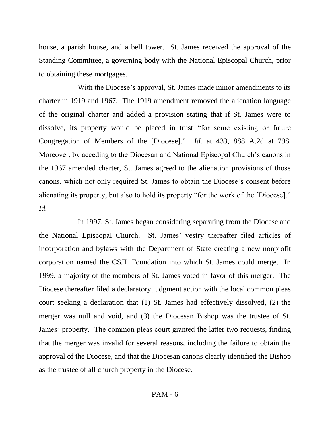house, a parish house, and a bell tower. St. James received the approval of the Standing Committee, a governing body with the National Episcopal Church, prior to obtaining these mortgages.

With the Diocese's approval, St. James made minor amendments to its charter in 1919 and 1967. The 1919 amendment removed the alienation language of the original charter and added a provision stating that if St. James were to dissolve, its property would be placed in trust "for some existing or future Congregation of Members of the [Diocese]." *Id.* at 433, 888 A.2d at 798. Moreover, by acceding to the Diocesan and National Episcopal Church's canons in the 1967 amended charter, St. James agreed to the alienation provisions of those canons, which not only required St. James to obtain the Diocese's consent before alienating its property, but also to hold its property "for the work of the [Diocese]." *Id.*

In 1997, St. James began considering separating from the Diocese and the National Episcopal Church. St. James' vestry thereafter filed articles of incorporation and bylaws with the Department of State creating a new nonprofit corporation named the CSJL Foundation into which St. James could merge. In 1999, a majority of the members of St. James voted in favor of this merger. The Diocese thereafter filed a declaratory judgment action with the local common pleas court seeking a declaration that (1) St. James had effectively dissolved, (2) the merger was null and void, and (3) the Diocesan Bishop was the trustee of St. James' property. The common pleas court granted the latter two requests, finding that the merger was invalid for several reasons, including the failure to obtain the approval of the Diocese, and that the Diocesan canons clearly identified the Bishop as the trustee of all church property in the Diocese.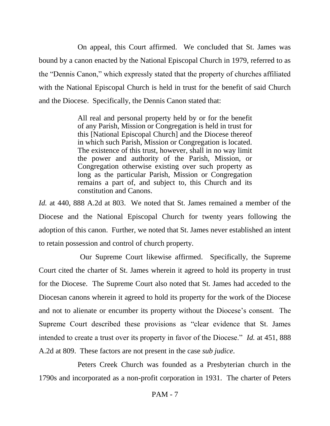On appeal, this Court affirmed. We concluded that St. James was bound by a canon enacted by the National Episcopal Church in 1979, referred to as the "Dennis Canon," which expressly stated that the property of churches affiliated with the National Episcopal Church is held in trust for the benefit of said Church and the Diocese. Specifically, the Dennis Canon stated that:

> All real and personal property held by or for the benefit of any Parish, Mission or Congregation is held in trust for this [National Episcopal Church] and the Diocese thereof in which such Parish, Mission or Congregation is located. The existence of this trust, however, shall in no way limit the power and authority of the Parish, Mission, or Congregation otherwise existing over such property as long as the particular Parish, Mission or Congregation remains a part of, and subject to, this Church and its constitution and Canons.

*Id.* at 440, 888 A.2d at 803. We noted that St. James remained a member of the Diocese and the National Episcopal Church for twenty years following the adoption of this canon. Further, we noted that St. James never established an intent to retain possession and control of church property.

Our Supreme Court likewise affirmed. Specifically, the Supreme Court cited the charter of St. James wherein it agreed to hold its property in trust for the Diocese. The Supreme Court also noted that St. James had acceded to the Diocesan canons wherein it agreed to hold its property for the work of the Diocese and not to alienate or encumber its property without the Diocese's consent. The Supreme Court described these provisions as "clear evidence that St. James intended to create a trust over its property in favor of the Diocese." *Id.* at 451, 888 A.2d at 809. These factors are not present in the case *sub judice*.

 Peters Creek Church was founded as a Presbyterian church in the 1790s and incorporated as a non-profit corporation in 1931. The charter of Peters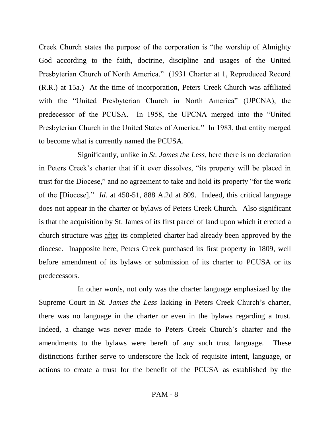Creek Church states the purpose of the corporation is "the worship of Almighty God according to the faith, doctrine, discipline and usages of the United Presbyterian Church of North America." (1931 Charter at 1, Reproduced Record (R.R.) at 15a.) At the time of incorporation, Peters Creek Church was affiliated with the "United Presbyterian Church in North America" (UPCNA), the predecessor of the PCUSA. In 1958, the UPCNA merged into the "United Presbyterian Church in the United States of America." In 1983, that entity merged to become what is currently named the PCUSA.

Significantly, unlike in *St. James the Less*, here there is no declaration in Peters Creek's charter that if it ever dissolves, "its property will be placed in trust for the Diocese," and no agreement to take and hold its property "for the work of the [Diocese]." *Id.* at 450-51, 888 A.2d at 809. Indeed, this critical language does not appear in the charter or bylaws of Peters Creek Church. Also significant is that the acquisition by St. James of its first parcel of land upon which it erected a church structure was after its completed charter had already been approved by the diocese. Inapposite here, Peters Creek purchased its first property in 1809, well before amendment of its bylaws or submission of its charter to PCUSA or its predecessors.

In other words, not only was the charter language emphasized by the Supreme Court in *St. James the Less* lacking in Peters Creek Church's charter, there was no language in the charter or even in the bylaws regarding a trust. Indeed, a change was never made to Peters Creek Church's charter and the amendments to the bylaws were bereft of any such trust language. These distinctions further serve to underscore the lack of requisite intent, language, or actions to create a trust for the benefit of the PCUSA as established by the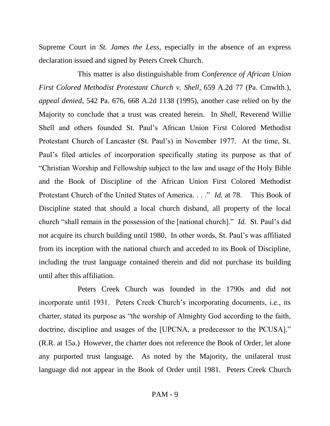Supreme Court in *St. James the Less*, especially in the absence of an express declaration issued and signed by Peters Creek Church.

This matter is also distinguishable from *Conference of African Union First Colored Methodist Protestant Church v. Shell*, 659 A.2d 77 (Pa. Cmwlth.), *appeal denied*, 542 Pa. 676, 668 A.2d 1138 (1995), another case relied on by the Majority to conclude that a trust was created herein. In *Shell*, Reverend Willie Shell and others founded St. Paul's African Union First Colored Methodist Protestant Church of Lancaster (St. Paul's) in November 1977. At the time, St. Paul's filed articles of incorporation specifically stating its purpose as that of "Christian Worship and Fellowship subject to the law and usage of the Holy Bible and the Book of Discipline of the African Union First Colored Methodist Protestant Church of the United States of America. . . ." *Id.* at 78. This Book of Discipline stated that should a local church disband, all property of the local church "shall remain in the possession of the [national church]." *Id.* St. Paul's did not acquire its church building until 1980. In other words, St. Paul's was affiliated from its inception with the national church and acceded to its Book of Discipline, including the trust language contained therein and did not purchase its building until after this affiliation.

Peters Creek Church was founded in the 1790s and did not incorporate until 1931. Peters Creek Church's incorporating documents, i.e., its charter, stated its purpose as "the worship of Almighty God according to the faith, doctrine, discipline and usages of the [UPCNA, a predecessor to the PCUSA]." (R.R. at 15a.) However, the charter does not reference the Book of Order, let alone any purported trust language. As noted by the Majority, the unilateral trust language did not appear in the Book of Order until 1981. Peters Creek Church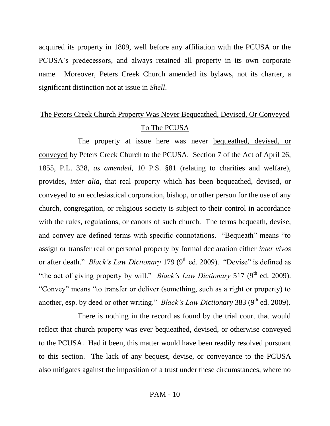acquired its property in 1809, well before any affiliation with the PCUSA or the PCUSA's predecessors, and always retained all property in its own corporate name. Moreover, Peters Creek Church amended its bylaws, not its charter, a significant distinction not at issue in *Shell*.

# The Peters Creek Church Property Was Never Bequeathed, Devised, Or Conveyed To The PCUSA

The property at issue here was never bequeathed, devised, or conveyed by Peters Creek Church to the PCUSA. Section 7 of the Act of April 26, 1855, P.L. 328, *as amended*, 10 P.S. §81 (relating to charities and welfare), provides, *inter alia*, that real property which has been bequeathed, devised, or conveyed to an ecclesiastical corporation, bishop, or other person for the use of any church, congregation, or religious society is subject to their control in accordance with the rules, regulations, or canons of such church. The terms bequeath, devise, and convey are defined terms with specific connotations. "Bequeath" means "to assign or transfer real or personal property by formal declaration either *inter vivos* or after death." *Black's Law Dictionary* 179 (9<sup>th</sup> ed. 2009). "Devise" is defined as "the act of giving property by will." *Black's Law Dictionary* 517 (9<sup>th</sup> ed. 2009). "Convey" means "to transfer or deliver (something, such as a right or property) to another, esp. by deed or other writing." *Black's Law Dictionary* 383 (9<sup>th</sup> ed. 2009).

There is nothing in the record as found by the trial court that would reflect that church property was ever bequeathed, devised, or otherwise conveyed to the PCUSA. Had it been, this matter would have been readily resolved pursuant to this section. The lack of any bequest, devise, or conveyance to the PCUSA also mitigates against the imposition of a trust under these circumstances, where no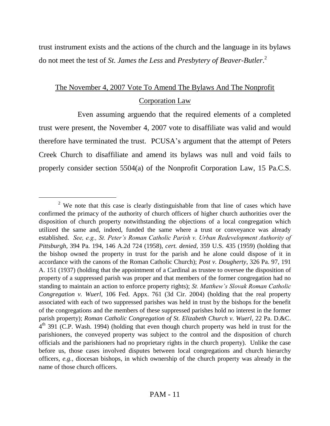trust instrument exists and the actions of the church and the language in its bylaws do not meet the test of *St. James the Less* and *Presbytery of Beaver-Butler*. 2

# The November 4, 2007 Vote To Amend The Bylaws And The Nonprofit Corporation Law

Even assuming arguendo that the required elements of a completed trust were present, the November 4, 2007 vote to disaffiliate was valid and would therefore have terminated the trust. PCUSA's argument that the attempt of Peters Creek Church to disaffiliate and amend its bylaws was null and void fails to properly consider section 5504(a) of the Nonprofit Corporation Law, 15 Pa.C.S.

<sup>&</sup>lt;sup>2</sup> We note that this case is clearly distinguishable from that line of cases which have confirmed the primacy of the authority of church officers of higher church authorities over the disposition of church property notwithstanding the objections of a local congregation which utilized the same and, indeed, funded the same where a trust or conveyance was already established. *See, e.g., St. Peter's Roman Catholic Parish v. Urban Redevelopment Authority of Pittsburgh*, 394 Pa. 194, 146 A.2d 724 (1958), *cert. denied*, 359 U.S. 435 (1959) (holding that the bishop owned the property in trust for the parish and he alone could dispose of it in accordance with the canons of the Roman Catholic Church); *Post v. Dougherty*, 326 Pa. 97, 191 A. 151 (1937) (holding that the appointment of a Cardinal as trustee to oversee the disposition of property of a suppressed parish was proper and that members of the former congregation had no standing to maintain an action to enforce property rights); *St. Matthew's Slovak Roman Catholic Congregation v. Wuerl*, 106 Fed. Appx. 761 (3d Cir. 2004) (holding that the real property associated with each of two suppressed parishes was held in trust by the bishops for the benefit of the congregations and the members of these suppressed parishes hold no interest in the former parish property); *Roman Catholic Congregation of St. Elizabeth Church v. Wuerl*, 22 Pa. D.&C.  $4<sup>th</sup>$  391 (C.P. Wash. 1994) (holding that even though church property was held in trust for the parishioners, the conveyed property was subject to the control and the disposition of church officials and the parishioners had no proprietary rights in the church property). Unlike the case before us, those cases involved disputes between local congregations and church hierarchy officers, *e.g.*, diocesan bishops, in which ownership of the church property was already in the name of those church officers.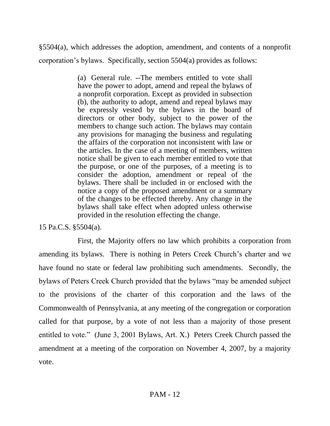§5504(a), which addresses the adoption, amendment, and contents of a nonprofit corporation's bylaws. Specifically, section 5504(a) provides as follows:

> (a) General rule. --The members entitled to vote shall have the power to adopt, amend and repeal the bylaws of a nonprofit corporation. Except as provided in subsection (b), the authority to adopt, amend and repeal bylaws may be expressly vested by the bylaws in the board of directors or other body, subject to the power of the members to change such action. The bylaws may contain any provisions for managing the business and regulating the affairs of the corporation not inconsistent with law or the articles. In the case of a meeting of members, written notice shall be given to each member entitled to vote that the purpose, or one of the purposes, of a meeting is to consider the adoption, amendment or repeal of the bylaws. There shall be included in or enclosed with the notice a copy of the proposed amendment or a summary of the changes to be effected thereby. Any change in the bylaws shall take effect when adopted unless otherwise provided in the resolution effecting the change.

15 Pa.C.S. §5504(a).

First, the Majority offers no law which prohibits a corporation from amending its bylaws. There is nothing in Peters Creek Church's charter and we have found no state or federal law prohibiting such amendments. Secondly, the bylaws of Peters Creek Church provided that the bylaws "may be amended subject to the provisions of the charter of this corporation and the laws of the Commonwealth of Pennsylvania, at any meeting of the congregation or corporation called for that purpose, by a vote of not less than a majority of those present entitled to vote." (June 3, 2001 Bylaws, Art. X.) Peters Creek Church passed the amendment at a meeting of the corporation on November 4, 2007, by a majority vote.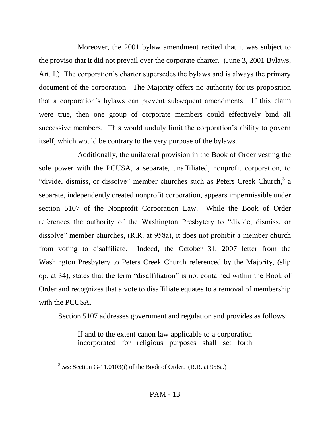Moreover, the 2001 bylaw amendment recited that it was subject to the proviso that it did not prevail over the corporate charter. (June 3, 2001 Bylaws, Art. I.) The corporation's charter supersedes the bylaws and is always the primary document of the corporation. The Majority offers no authority for its proposition that a corporation's bylaws can prevent subsequent amendments. If this claim were true, then one group of corporate members could effectively bind all successive members. This would unduly limit the corporation's ability to govern itself, which would be contrary to the very purpose of the bylaws.

Additionally, the unilateral provision in the Book of Order vesting the sole power with the PCUSA, a separate, unaffiliated, nonprofit corporation, to "divide, dismiss, or dissolve" member churches such as Peters Creek Church,<sup>3</sup> a separate, independently created nonprofit corporation, appears impermissible under section 5107 of the Nonprofit Corporation Law. While the Book of Order references the authority of the Washington Presbytery to "divide, dismiss, or dissolve" member churches, (R.R. at 958a), it does not prohibit a member church from voting to disaffiliate. Indeed, the October 31, 2007 letter from the Washington Presbytery to Peters Creek Church referenced by the Majority, (slip op. at 34), states that the term "disaffiliation" is not contained within the Book of Order and recognizes that a vote to disaffiliate equates to a removal of membership with the PCUSA.

Section 5107 addresses government and regulation and provides as follows:

If and to the extent canon law applicable to a corporation incorporated for religious purposes shall set forth

<sup>3</sup> *See* Section G-11.0103(i) of the Book of Order. (R.R. at 958a.)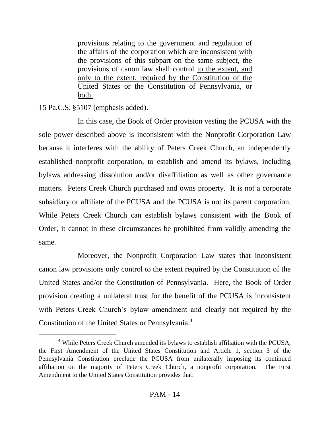provisions relating to the government and regulation of the affairs of the corporation which are inconsistent with the provisions of this subpart on the same subject, the provisions of canon law shall control to the extent, and only to the extent, required by the Constitution of the United States or the Constitution of Pennsylvania, or both.

15 Pa.C.S. §5107 (emphasis added).

 $\overline{a}$ 

In this case, the Book of Order provision vesting the PCUSA with the sole power described above is inconsistent with the Nonprofit Corporation Law because it interferes with the ability of Peters Creek Church, an independently established nonprofit corporation, to establish and amend its bylaws, including bylaws addressing dissolution and/or disaffiliation as well as other governance matters. Peters Creek Church purchased and owns property. It is not a corporate subsidiary or affiliate of the PCUSA and the PCUSA is not its parent corporation. While Peters Creek Church can establish bylaws consistent with the Book of Order, it cannot in these circumstances be prohibited from validly amending the same.

Moreover, the Nonprofit Corporation Law states that inconsistent canon law provisions only control to the extent required by the Constitution of the United States and/or the Constitution of Pennsylvania. Here, the Book of Order provision creating a unilateral trust for the benefit of the PCUSA is inconsistent with Peters Creek Church's bylaw amendment and clearly not required by the Constitution of the United States or Pennsylvania.<sup>4</sup>

<sup>4</sup> While Peters Creek Church amended its bylaws to establish affiliation with the PCUSA, the First Amendment of the United States Constitution and Article 1, section 3 of the Pennsylvania Constitution preclude the PCUSA from unilaterally imposing its continued affiliation on the majority of Peters Creek Church, a nonprofit corporation. The First Amendment to the United States Constitution provides that: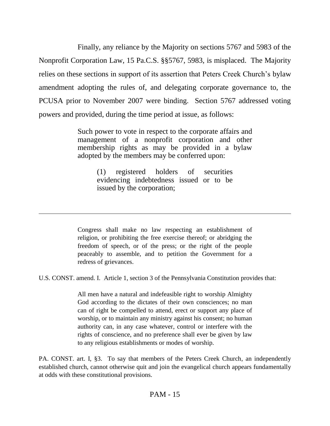Finally, any reliance by the Majority on sections 5767 and 5983 of the Nonprofit Corporation Law, 15 Pa.C.S. §§5767, 5983, is misplaced. The Majority relies on these sections in support of its assertion that Peters Creek Church's bylaw amendment adopting the rules of, and delegating corporate governance to, the PCUSA prior to November 2007 were binding. Section 5767 addressed voting powers and provided, during the time period at issue, as follows:

> Such power to vote in respect to the corporate affairs and management of a nonprofit corporation and other membership rights as may be provided in a bylaw adopted by the members may be conferred upon:

> > (1) registered holders of securities evidencing indebtedness issued or to be issued by the corporation;

Congress shall make no law respecting an establishment of religion, or prohibiting the free exercise thereof; or abridging the freedom of speech, or of the press; or the right of the people peaceably to assemble, and to petition the Government for a redress of grievances.

U.S. CONST. amend. I. Article 1, section 3 of the Pennsylvania Constitution provides that:

 $\overline{a}$ 

All men have a natural and indefeasible right to worship Almighty God according to the dictates of their own consciences; no man can of right be compelled to attend, erect or support any place of worship, or to maintain any ministry against his consent; no human authority can, in any case whatever, control or interfere with the rights of conscience, and no preference shall ever be given by law to any religious establishments or modes of worship.

PA. CONST. art. I, §3. To say that members of the Peters Creek Church, an independently established church, cannot otherwise quit and join the evangelical church appears fundamentally at odds with these constitutional provisions.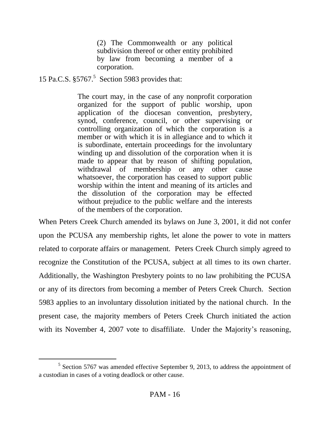(2) The Commonwealth or any political subdivision thereof or other entity prohibited by law from becoming a member of a corporation.

15 Pa.C.S. §5767.<sup>5</sup> Section 5983 provides that:

 $\overline{a}$ 

The court may, in the case of any nonprofit corporation organized for the support of public worship, upon application of the diocesan convention, presbytery, synod, conference, council, or other supervising or controlling organization of which the corporation is a member or with which it is in allegiance and to which it is subordinate, entertain proceedings for the involuntary winding up and dissolution of the corporation when it is made to appear that by reason of shifting population, withdrawal of membership or any other cause whatsoever, the corporation has ceased to support public worship within the intent and meaning of its articles and the dissolution of the corporation may be effected without prejudice to the public welfare and the interests of the members of the corporation.

When Peters Creek Church amended its bylaws on June 3, 2001, it did not confer upon the PCUSA any membership rights, let alone the power to vote in matters related to corporate affairs or management. Peters Creek Church simply agreed to recognize the Constitution of the PCUSA, subject at all times to its own charter. Additionally, the Washington Presbytery points to no law prohibiting the PCUSA or any of its directors from becoming a member of Peters Creek Church. Section 5983 applies to an involuntary dissolution initiated by the national church. In the present case, the majority members of Peters Creek Church initiated the action with its November 4, 2007 vote to disaffiliate. Under the Majority's reasoning,

<sup>&</sup>lt;sup>5</sup> Section 5767 was amended effective September 9, 2013, to address the appointment of a custodian in cases of a voting deadlock or other cause.